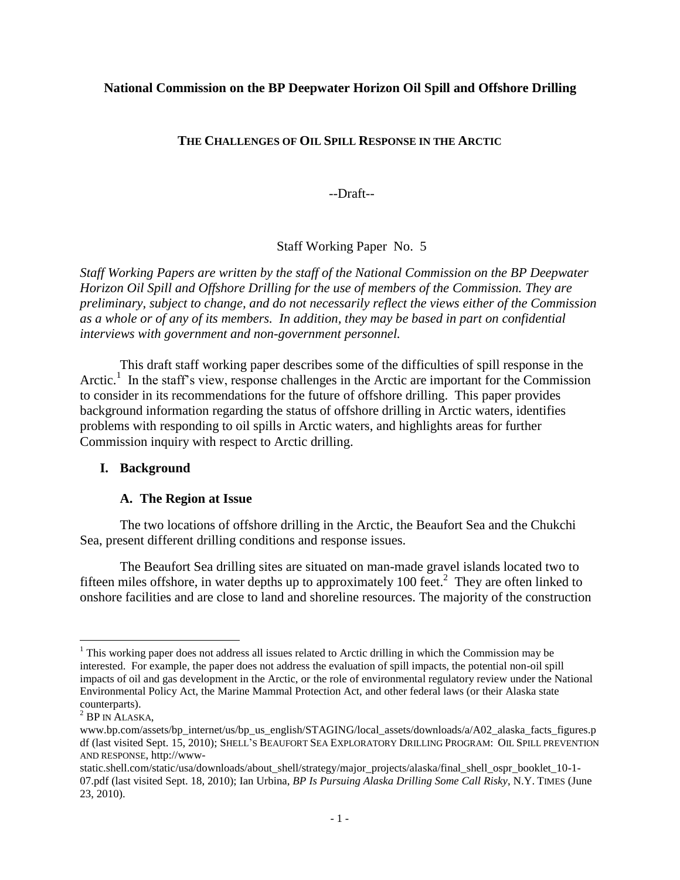### **National Commission on the BP Deepwater Horizon Oil Spill and Offshore Drilling**

## **THE CHALLENGES OF OIL SPILL RESPONSE IN THE ARCTIC**

--Draft--

Staff Working Paper No. 5

*Staff Working Papers are written by the staff of the National Commission on the BP Deepwater Horizon Oil Spill and Offshore Drilling for the use of members of the Commission. They are preliminary, subject to change, and do not necessarily reflect the views either of the Commission as a whole or of any of its members. In addition, they may be based in part on confidential interviews with government and non-government personnel.* 

This draft staff working paper describes some of the difficulties of spill response in the Arctic.<sup>1</sup> In the staff's view, response challenges in the Arctic are important for the Commission to consider in its recommendations for the future of offshore drilling. This paper provides background information regarding the status of offshore drilling in Arctic waters, identifies problems with responding to oil spills in Arctic waters, and highlights areas for further Commission inquiry with respect to Arctic drilling.

#### **I. Background**

#### **A. The Region at Issue**

The two locations of offshore drilling in the Arctic, the Beaufort Sea and the Chukchi Sea, present different drilling conditions and response issues.

The Beaufort Sea drilling sites are situated on man-made gravel islands located two to fifteen miles offshore, in water depths up to approximately 100 feet.<sup>2</sup> They are often linked to onshore facilities and are close to land and shoreline resources. The majority of the construction

 $1$  This working paper does not address all issues related to Arctic drilling in which the Commission may be interested. For example, the paper does not address the evaluation of spill impacts, the potential non-oil spill impacts of oil and gas development in the Arctic, or the role of environmental regulatory review under the National Environmental Policy Act, the Marine Mammal Protection Act, and other federal laws (or their Alaska state counterparts).

 $2$  BP IN ALASKA.

www.bp.com/assets/bp\_internet/us/bp\_us\_english/STAGING/local\_assets/downloads/a/A02\_alaska\_facts\_figures.p df (last visited Sept. 15, 2010); SHELL'S BEAUFORT SEA EXPLORATORY DRILLING PROGRAM: OIL SPILL PREVENTION AND RESPONSE, http://www-

static.shell.com/static/usa/downloads/about\_shell/strategy/major\_projects/alaska/final\_shell\_ospr\_booklet\_10-1-07.pdf (last visited Sept. 18, 2010); Ian Urbina, *BP Is Pursuing Alaska Drilling Some Call Risky*, N.Y. TIMES (June 23, 2010).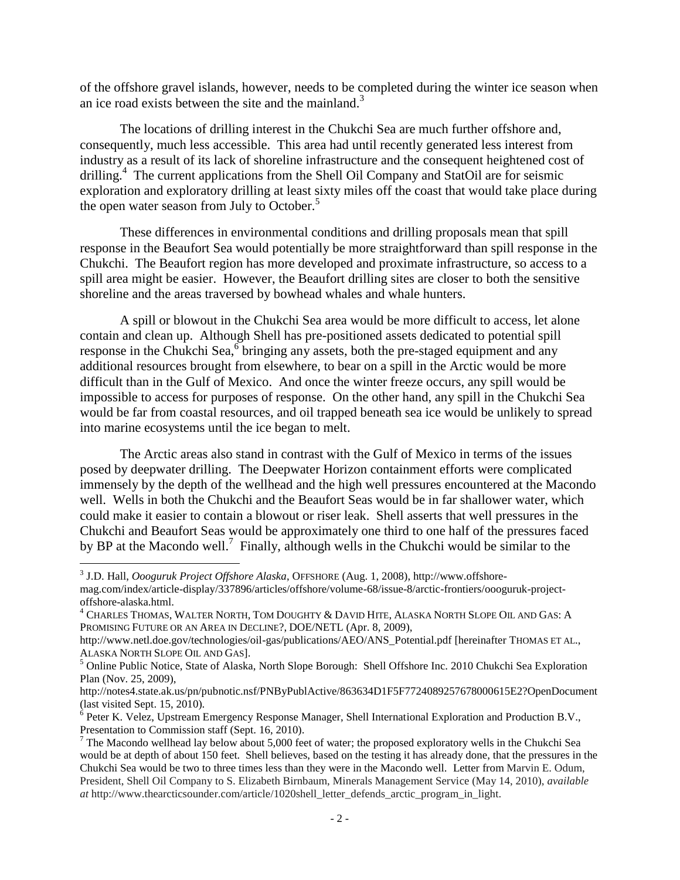of the offshore gravel islands, however, needs to be completed during the winter ice season when an ice road exists between the site and the mainland.<sup>3</sup>

The locations of drilling interest in the Chukchi Sea are much further offshore and, consequently, much less accessible. This area had until recently generated less interest from industry as a result of its lack of shoreline infrastructure and the consequent heightened cost of drilling.<sup>4</sup> The current applications from the Shell Oil Company and StatOil are for seismic exploration and exploratory drilling at least sixty miles off the coast that would take place during the open water season from July to October. 5

These differences in environmental conditions and drilling proposals mean that spill response in the Beaufort Sea would potentially be more straightforward than spill response in the Chukchi. The Beaufort region has more developed and proximate infrastructure, so access to a spill area might be easier. However, the Beaufort drilling sites are closer to both the sensitive shoreline and the areas traversed by bowhead whales and whale hunters.

A spill or blowout in the Chukchi Sea area would be more difficult to access, let alone contain and clean up. Although Shell has pre-positioned assets dedicated to potential spill response in the Chukchi Sea,  $\overline{6}$  bringing any assets, both the pre-staged equipment and any additional resources brought from elsewhere, to bear on a spill in the Arctic would be more difficult than in the Gulf of Mexico. And once the winter freeze occurs, any spill would be impossible to access for purposes of response. On the other hand, any spill in the Chukchi Sea would be far from coastal resources, and oil trapped beneath sea ice would be unlikely to spread into marine ecosystems until the ice began to melt.

The Arctic areas also stand in contrast with the Gulf of Mexico in terms of the issues posed by deepwater drilling. The Deepwater Horizon containment efforts were complicated immensely by the depth of the wellhead and the high well pressures encountered at the Macondo well. Wells in both the Chukchi and the Beaufort Seas would be in far shallower water, which could make it easier to contain a blowout or riser leak. Shell asserts that well pressures in the Chukchi and Beaufort Seas would be approximately one third to one half of the pressures faced by BP at the Macondo well.<sup>7</sup> Finally, although wells in the Chukchi would be similar to the

<sup>3</sup> J.D. Hall, *Oooguruk Project Offshore Alaska*, OFFSHORE (Aug. 1, 2008), http://www.offshoremag.com/index/article-display/337896/articles/offshore/volume-68/issue-8/arctic-frontiers/oooguruk-projectoffshore-alaska.html.

 $^4$  Charles Thomas, Walter North, Tom Doughty & David Hite, Alaska North Slope Oil and Gas: A PROMISING FUTURE OR AN AREA IN DECLINE?, DOE/NETL (Apr. 8, 2009),

http://www.netl.doe.gov/technologies/oil-gas/publications/AEO/ANS\_Potential.pdf [hereinafter THOMAS ET AL., ALASKA NORTH SLOPE OIL AND GAS].

<sup>5</sup> Online Public Notice, State of Alaska, North Slope Borough: Shell Offshore Inc. 2010 Chukchi Sea Exploration Plan (Nov. 25, 2009),

http://notes4.state.ak.us/pn/pubnotic.nsf/PNByPublActive/863634D1F5F7724089257678000615E2?OpenDocument (last visited Sept. 15, 2010).

 $^6$  Peter K. Velez, Upstream Emergency Response Manager, Shell International Exploration and Production B.V., Presentation to Commission staff (Sept. 16, 2010).

 $7$  The Macondo wellhead lay below about 5,000 feet of water; the proposed exploratory wells in the Chukchi Sea would be at depth of about 150 feet. Shell believes, based on the testing it has already done, that the pressures in the Chukchi Sea would be two to three times less than they were in the Macondo well. Letter from Marvin E. Odum, President, Shell Oil Company to S. Elizabeth Birnbaum, Minerals Management Service (May 14, 2010), *available at* http://www.thearcticsounder.com/article/1020shell\_letter\_defends\_arctic\_program\_in\_light.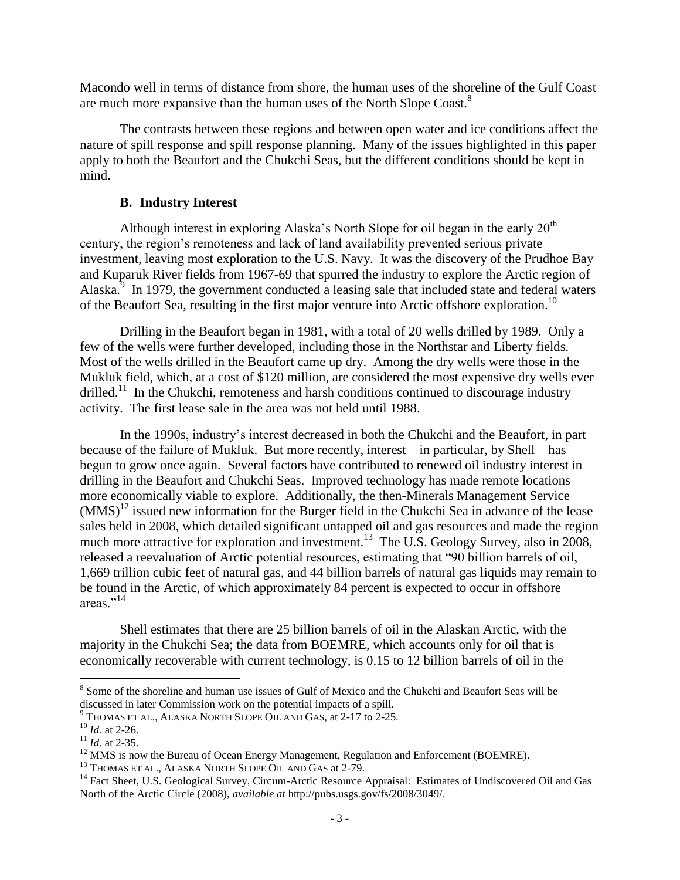Macondo well in terms of distance from shore, the human uses of the shoreline of the Gulf Coast are much more expansive than the human uses of the North Slope Coast.<sup>8</sup>

The contrasts between these regions and between open water and ice conditions affect the nature of spill response and spill response planning. Many of the issues highlighted in this paper apply to both the Beaufort and the Chukchi Seas, but the different conditions should be kept in mind.

#### **B. Industry Interest**

Although interest in exploring Alaska's North Slope for oil began in the early  $20<sup>th</sup>$ century, the region's remoteness and lack of land availability prevented serious private investment, leaving most exploration to the U.S. Navy. It was the discovery of the Prudhoe Bay and Kuparuk River fields from 1967-69 that spurred the industry to explore the Arctic region of Alaska. $\frac{9}{2}$  In 1979, the government conducted a leasing sale that included state and federal waters of the Beaufort Sea, resulting in the first major venture into Arctic offshore exploration.<sup>10</sup>

Drilling in the Beaufort began in 1981, with a total of 20 wells drilled by 1989. Only a few of the wells were further developed, including those in the Northstar and Liberty fields. Most of the wells drilled in the Beaufort came up dry. Among the dry wells were those in the Mukluk field, which, at a cost of \$120 million, are considered the most expensive dry wells ever drilled.<sup>11</sup> In the Chukchi, remoteness and harsh conditions continued to discourage industry activity. The first lease sale in the area was not held until 1988.

In the 1990s, industry's interest decreased in both the Chukchi and the Beaufort, in part because of the failure of Mukluk. But more recently, interest—in particular, by Shell—has begun to grow once again. Several factors have contributed to renewed oil industry interest in drilling in the Beaufort and Chukchi Seas. Improved technology has made remote locations more economically viable to explore. Additionally, the then-Minerals Management Service  $(MMS)^{12}$  issued new information for the Burger field in the Chukchi Sea in advance of the lease sales held in 2008, which detailed significant untapped oil and gas resources and made the region much more attractive for exploration and investment.<sup>13</sup> The U.S. Geology Survey, also in 2008, released a reevaluation of Arctic potential resources, estimating that "90 billion barrels of oil, 1,669 trillion cubic feet of natural gas, and 44 billion barrels of natural gas liquids may remain to be found in the Arctic, of which approximately 84 percent is expected to occur in offshore areas<sup>"14</sup>

Shell estimates that there are 25 billion barrels of oil in the Alaskan Arctic, with the majority in the Chukchi Sea; the data from BOEMRE, which accounts only for oil that is economically recoverable with current technology, is 0.15 to 12 billion barrels of oil in the

 $\overline{a}$ 

<sup>13</sup> THOMAS ET AL., ALASKA NORTH SLOPE OIL AND GAS at 2-79.

<sup>&</sup>lt;sup>8</sup> Some of the shoreline and human use issues of Gulf of Mexico and the Chukchi and Beaufort Seas will be discussed in later Commission work on the potential impacts of a spill.

<sup>9</sup> THOMAS ET AL., ALASKA NORTH SLOPE OIL AND GAS, at 2-17 to 2-25.

<sup>10</sup> *Id.* at 2-26.

<sup>11</sup> *Id.* at 2-35.

 $12$  MMS is now the Bureau of Ocean Energy Management, Regulation and Enforcement (BOEMRE).

<sup>&</sup>lt;sup>14</sup> Fact Sheet, U.S. Geological Survey, Circum-Arctic Resource Appraisal: Estimates of Undiscovered Oil and Gas North of the Arctic Circle (2008), *available at* http://pubs.usgs.gov/fs/2008/3049/.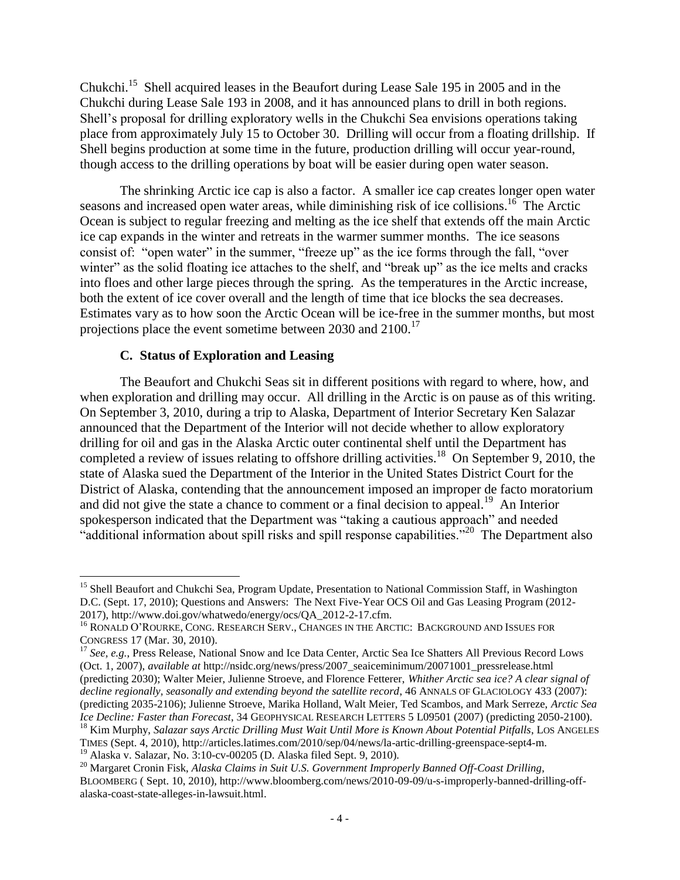Chukchi.<sup>15</sup> Shell acquired leases in the Beaufort during Lease Sale 195 in 2005 and in the Chukchi during Lease Sale 193 in 2008, and it has announced plans to drill in both regions. Shell's proposal for drilling exploratory wells in the Chukchi Sea envisions operations taking place from approximately July 15 to October 30. Drilling will occur from a floating drillship. If Shell begins production at some time in the future, production drilling will occur year-round, though access to the drilling operations by boat will be easier during open water season.

The shrinking Arctic ice cap is also a factor. A smaller ice cap creates longer open water seasons and increased open water areas, while diminishing risk of ice collisions.<sup>16</sup> The Arctic Ocean is subject to regular freezing and melting as the ice shelf that extends off the main Arctic ice cap expands in the winter and retreats in the warmer summer months. The ice seasons consist of: "open water" in the summer, "freeze up" as the ice forms through the fall, "over winter" as the solid floating ice attaches to the shelf, and "break up" as the ice melts and cracks into floes and other large pieces through the spring. As the temperatures in the Arctic increase, both the extent of ice cover overall and the length of time that ice blocks the sea decreases. Estimates vary as to how soon the Arctic Ocean will be ice-free in the summer months, but most projections place the event sometime between 2030 and 2100.<sup>17</sup>

### **C. Status of Exploration and Leasing**

 $\overline{a}$ 

The Beaufort and Chukchi Seas sit in different positions with regard to where, how, and when exploration and drilling may occur. All drilling in the Arctic is on pause as of this writing. On September 3, 2010, during a trip to Alaska, Department of Interior Secretary Ken Salazar announced that the Department of the Interior will not decide whether to allow exploratory drilling for oil and gas in the Alaska Arctic outer continental shelf until the Department has completed a review of issues relating to offshore drilling activities.<sup>18</sup> On September 9, 2010, the state of Alaska sued the Department of the Interior in the United States District Court for the District of Alaska, contending that the announcement imposed an improper de facto moratorium and did not give the state a chance to comment or a final decision to appeal.<sup>19</sup> An Interior spokesperson indicated that the Department was "taking a cautious approach" and needed additional information about spill risks and spill response capabilities."<sup>20</sup> The Department also

<sup>&</sup>lt;sup>15</sup> Shell Beaufort and Chukchi Sea, Program Update, Presentation to National Commission Staff, in Washington D.C. (Sept. 17, 2010); Questions and Answers: The Next Five-Year OCS Oil and Gas Leasing Program (2012- 2017), http://www.doi.gov/whatwedo/energy/ocs/QA\_2012-2-17.cfm.

<sup>16</sup> RONALD O'ROURKE, CONG. RESEARCH SERV., CHANGES IN THE ARCTIC: BACKGROUND AND ISSUES FOR CONGRESS 17 (Mar. 30, 2010).

<sup>&</sup>lt;sup>17</sup> See, e.g., Press Release, National Snow and Ice Data Center, Arctic Sea Ice Shatters All Previous Record Lows (Oct. 1, 2007), *available at* http://nsidc.org/news/press/2007\_seaiceminimum/20071001\_pressrelease.html (predicting 2030); Walter Meier, Julienne Stroeve, and Florence Fetterer, *Whither Arctic sea ice? A clear signal of*  decline regionally, seasonally and extending beyond the satellite record, 46 ANNALS OF GLACIOLOGY 433 (2007): (predicting 2035-2106); Julienne Stroeve, Marika Holland, Walt Meier, Ted Scambos, and Mark Serreze, *Arctic Sea Ice Decline: Faster than Forecast*, 34 GEOPHYSICAL RESEARCH LETTERS 5 L09501 (2007) (predicting 2050-2100). <sup>18</sup> Kim Murphy, *Salazar says Arctic Drilling Must Wait Until More is Known About Potential Pitfalls*, LOS ANGELES

TIMES (Sept. 4, 2010), http://articles.latimes.com/2010/sep/04/news/la-artic-drilling-greenspace-sept4-m. <sup>19</sup> Alaska v. Salazar, No. 3:10-cv-00205 (D. Alaska filed Sept. 9, 2010).

<sup>20</sup> Margaret Cronin Fisk, *Alaska Claims in Suit U.S. Government Improperly Banned Off-Coast Drilling*, BLOOMBERG ( Sept. 10, 2010), http://www.bloomberg.com/news/2010-09-09/u-s-improperly-banned-drilling-offalaska-coast-state-alleges-in-lawsuit.html.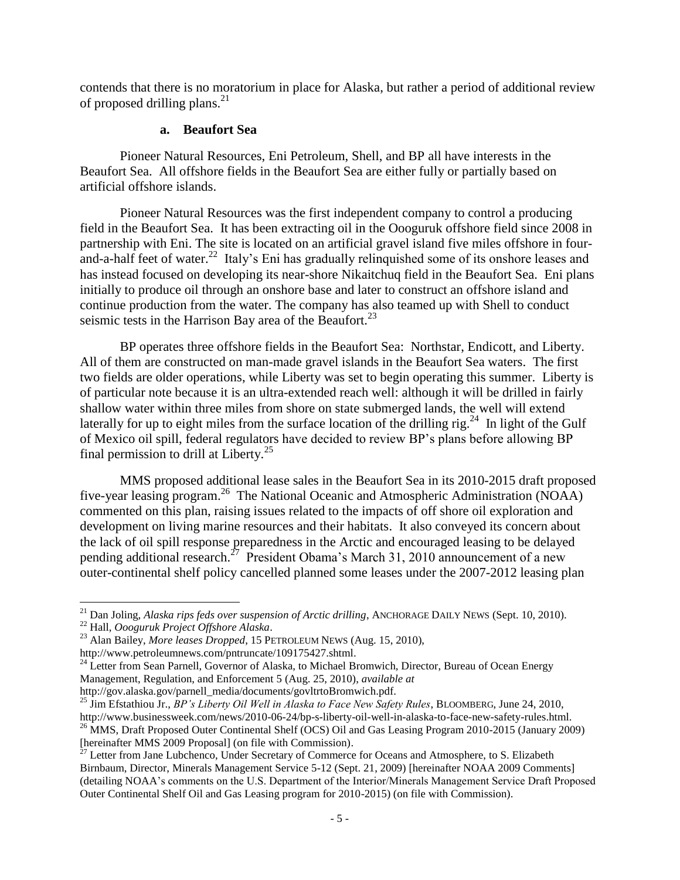contends that there is no moratorium in place for Alaska, but rather a period of additional review of proposed drilling plans.<sup>21</sup>

#### **a. Beaufort Sea**

Pioneer Natural Resources, Eni Petroleum, Shell, and BP all have interests in the Beaufort Sea. All offshore fields in the Beaufort Sea are either fully or partially based on artificial offshore islands.

Pioneer Natural Resources was the first independent company to control a producing field in the Beaufort Sea. It has been extracting oil in the Oooguruk offshore field since 2008 in partnership with Eni. The site is located on an artificial gravel island five miles offshore in fourand-a-half feet of water.<sup>22</sup> Italy's Eni has gradually relinquished some of its onshore leases and has instead focused on developing its near-shore Nikaitchuq field in the Beaufort Sea. Eni plans initially to produce oil through an onshore base and later to construct an offshore island and continue production from the water. The company has also teamed up with Shell to conduct seismic tests in the Harrison Bay area of the Beaufort.<sup>23</sup>

BP operates three offshore fields in the Beaufort Sea: Northstar, Endicott, and Liberty. All of them are constructed on man-made gravel islands in the Beaufort Sea waters. The first two fields are older operations, while Liberty was set to begin operating this summer. Liberty is of particular note because it is an ultra-extended reach well: although it will be drilled in fairly shallow water within three miles from shore on state submerged lands, the well will extend laterally for up to eight miles from the surface location of the drilling rig.<sup>24</sup> In light of the Gulf of Mexico oil spill, federal regulators have decided to review BP's plans before allowing BP final permission to drill at Liberty.<sup>25</sup>

MMS proposed additional lease sales in the Beaufort Sea in its 2010-2015 draft proposed five-year leasing program.<sup>26</sup> The National Oceanic and Atmospheric Administration (NOAA) commented on this plan, raising issues related to the impacts of off shore oil exploration and development on living marine resources and their habitats. It also conveyed its concern about the lack of oil spill response preparedness in the Arctic and encouraged leasing to be delayed pending additional research.<sup>27</sup> President Obama's March 31, 2010 announcement of a new outer-continental shelf policy cancelled planned some leases under the 2007-2012 leasing plan

[hereinafter MMS 2009 Proposal] (on file with Commission).

 $\overline{a}$ <sup>21</sup> Dan Joling, *Alaska rips feds over suspension of Arctic drilling*, ANCHORAGE DAILY NEWS (Sept. 10, 2010).

<sup>22</sup> Hall, *Oooguruk Project Offshore Alaska*.

<sup>&</sup>lt;sup>23</sup> Alan Bailey, More leases Dropped, 15 PETROLEUM NEWS (Aug. 15, 2010),

http://www.petroleumnews.com/pntruncate/109175427.shtml.

<sup>&</sup>lt;sup>24</sup> Letter from Sean Parnell, Governor of Alaska, to Michael Bromwich, Director, Bureau of Ocean Energy Management, Regulation, and Enforcement 5 (Aug. 25, 2010), *available at* http://gov.alaska.gov/parnell\_media/documents/govltrtoBromwich.pdf.

<sup>25</sup> Jim Efstathiou Jr., *BP's Liberty Oil Well in Alaska to Face New Safety Rules*, BLOOMBERG, June 24, 2010, http://www.businessweek.com/news/2010-06-24/bp-s-liberty-oil-well-in-alaska-to-face-new-safety-rules.html. <sup>26</sup> MMS, Draft Proposed Outer Continental Shelf (OCS) Oil and Gas Leasing Program 2010-2015 (January 2009)

 $^{27}$  Letter from Jane Lubchenco, Under Secretary of Commerce for Oceans and Atmosphere, to S. Elizabeth Birnbaum, Director, Minerals Management Service 5-12 (Sept. 21, 2009) [hereinafter NOAA 2009 Comments] (detailing NOAA's comments on the U.S. Department of the Interior/Minerals Management Service Draft Proposed Outer Continental Shelf Oil and Gas Leasing program for 2010-2015) (on file with Commission).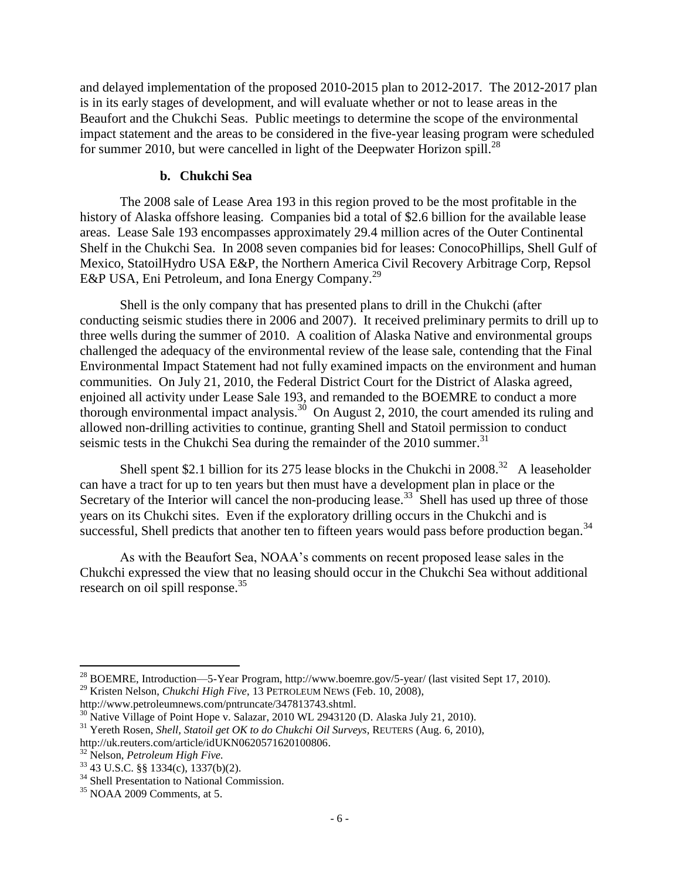and delayed implementation of the proposed 2010-2015 plan to 2012-2017. The 2012-2017 plan is in its early stages of development, and will evaluate whether or not to lease areas in the Beaufort and the Chukchi Seas. Public meetings to determine the scope of the environmental impact statement and the areas to be considered in the five-year leasing program were scheduled for summer 2010, but were cancelled in light of the Deepwater Horizon spill.<sup>28</sup>

## **b. Chukchi Sea**

The 2008 sale of Lease Area 193 in this region proved to be the most profitable in the history of Alaska offshore leasing. Companies bid a total of \$2.6 billion for the available lease areas. Lease Sale 193 encompasses approximately 29.4 million acres of the Outer Continental Shelf in the Chukchi Sea. In 2008 seven companies bid for leases: ConocoPhillips, Shell Gulf of Mexico, StatoilHydro USA E&P, the Northern America Civil Recovery Arbitrage Corp, Repsol E&P USA, Eni Petroleum, and Iona Energy Company.<sup>29</sup>

Shell is the only company that has presented plans to drill in the Chukchi (after conducting seismic studies there in 2006 and 2007). It received preliminary permits to drill up to three wells during the summer of 2010. A coalition of Alaska Native and environmental groups challenged the adequacy of the environmental review of the lease sale, contending that the Final Environmental Impact Statement had not fully examined impacts on the environment and human communities. On July 21, 2010, the Federal District Court for the District of Alaska agreed, enjoined all activity under Lease Sale 193, and remanded to the BOEMRE to conduct a more thorough environmental impact analysis.<sup>30</sup> On August 2, 2010, the court amended its ruling and allowed non-drilling activities to continue, granting Shell and Statoil permission to conduct seismic tests in the Chukchi Sea during the remainder of the 2010 summer.<sup>31</sup>

Shell spent \$2.1 billion for its 275 lease blocks in the Chukchi in  $2008.<sup>32</sup>$  A leaseholder can have a tract for up to ten years but then must have a development plan in place or the Secretary of the Interior will cancel the non-producing lease.<sup>33</sup> Shell has used up three of those years on its Chukchi sites. Even if the exploratory drilling occurs in the Chukchi and is successful, Shell predicts that another ten to fifteen years would pass before production began.<sup>34</sup>

As with the Beaufort Sea, NOAA's comments on recent proposed lease sales in the Chukchi expressed the view that no leasing should occur in the Chukchi Sea without additional research on oil spill response. 35

<sup>&</sup>lt;sup>28</sup> BOEMRE, Introduction—5-Year Program, http://www.boemre.gov/5-year/ (last visited Sept 17, 2010).

<sup>29</sup> Kristen Nelson, *Chukchi High Five*, 13 PETROLEUM NEWS (Feb. 10, 2008), http://www.petroleumnews.com/pntruncate/347813743.shtml.

 $30$  Native Village of Point Hope v. Salazar, 2010 WL 2943120 (D. Alaska July 21, 2010).

<sup>31</sup> Yereth Rosen, *Shell, Statoil get OK to do Chukchi Oil Surveys*, REUTERS (Aug. 6, 2010), http://uk.reuters.com/article/idUKN0620571620100806.

<sup>32</sup> Nelson, *Petroleum High Five.*

 $33$  43 U.S.C. §§ 1334(c), 1337(b)(2).

<sup>&</sup>lt;sup>34</sup> Shell Presentation to National Commission.

 $35$  NOAA 2009 Comments, at 5.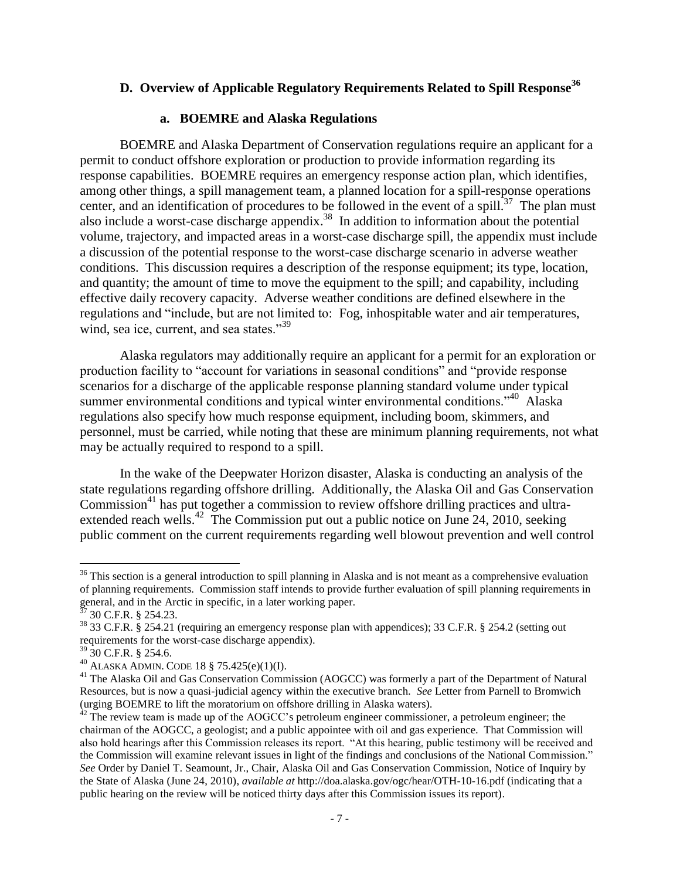# **D. Overview of Applicable Regulatory Requirements Related to Spill Response<sup>36</sup>**

#### **a. BOEMRE and Alaska Regulations**

BOEMRE and Alaska Department of Conservation regulations require an applicant for a permit to conduct offshore exploration or production to provide information regarding its response capabilities. BOEMRE requires an emergency response action plan, which identifies, among other things, a spill management team, a planned location for a spill-response operations center, and an identification of procedures to be followed in the event of a spill.<sup>37</sup> The plan must also include a worst-case discharge appendix. 38 In addition to information about the potential volume, trajectory, and impacted areas in a worst-case discharge spill, the appendix must include a discussion of the potential response to the worst-case discharge scenario in adverse weather conditions. This discussion requires a description of the response equipment; its type, location, and quantity; the amount of time to move the equipment to the spill; and capability, including effective daily recovery capacity. Adverse weather conditions are defined elsewhere in the regulations and "include, but are not limited to: Fog, inhospitable water and air temperatures, wind, sea ice, current, and sea states."<sup>39</sup>

Alaska regulators may additionally require an applicant for a permit for an exploration or production facility to "account for variations in seasonal conditions" and "provide response scenarios for a discharge of the applicable response planning standard volume under typical summer environmental conditions and typical winter environmental conditions."<sup>40</sup> Alaska regulations also specify how much response equipment, including boom, skimmers, and personnel, must be carried, while noting that these are minimum planning requirements, not what may be actually required to respond to a spill.

In the wake of the Deepwater Horizon disaster, Alaska is conducting an analysis of the state regulations regarding offshore drilling. Additionally, the Alaska Oil and Gas Conservation Commission<sup>41</sup> has put together a commission to review offshore drilling practices and ultraextended reach wells.<sup>42</sup> The Commission put out a public notice on June 24, 2010, seeking public comment on the current requirements regarding well blowout prevention and well control

 $36$  This section is a general introduction to spill planning in Alaska and is not meant as a comprehensive evaluation of planning requirements. Commission staff intends to provide further evaluation of spill planning requirements in general, and in the Arctic in specific, in a later working paper.

<sup>37</sup> 30 C.F.R. § 254.23.

<sup>&</sup>lt;sup>38</sup> 33 C.F.R. § 254.21 (requiring an emergency response plan with appendices); 33 C.F.R. § 254.2 (setting out requirements for the worst-case discharge appendix).

<sup>39</sup> 30 C.F.R. § 254.6.

<sup>&</sup>lt;sup>40</sup> ALASKA ADMIN. CODE 18 § 75.425(e)(1)(I).

<sup>&</sup>lt;sup>41</sup> The Alaska Oil and Gas Conservation Commission (AOGCC) was formerly a part of the Department of Natural Resources, but is now a quasi-judicial agency within the executive branch. *See* Letter from Parnell to Bromwich (urging BOEMRE to lift the moratorium on offshore drilling in Alaska waters).

 $^{42}$  The review team is made up of the AOGCC's petroleum engineer commissioner, a petroleum engineer; the chairman of the AOGCC, a geologist; and a public appointee with oil and gas experience. That Commission will also hold hearings after this Commission releases its report. "At this hearing, public testimony will be received and the Commission will examine relevant issues in light of the findings and conclusions of the National Commission." *See* Order by Daniel T. Seamount, Jr., Chair, Alaska Oil and Gas Conservation Commission, Notice of Inquiry by the State of Alaska (June 24, 2010), *available at* http://doa.alaska.gov/ogc/hear/OTH-10-16.pdf (indicating that a public hearing on the review will be noticed thirty days after this Commission issues its report).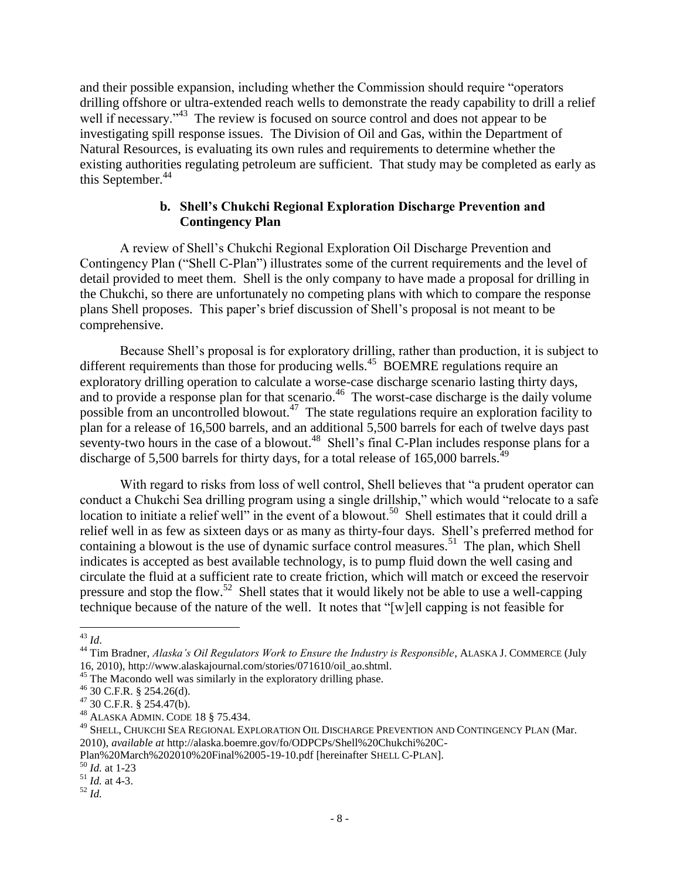and their possible expansion, including whether the Commission should require "operators drilling offshore or ultra-extended reach wells to demonstrate the ready capability to drill a relief well if necessary."<sup>43</sup> The review is focused on source control and does not appear to be investigating spill response issues. The Division of Oil and Gas, within the Department of Natural Resources, is evaluating its own rules and requirements to determine whether the existing authorities regulating petroleum are sufficient. That study may be completed as early as this September. 44

# **b. Shell's Chukchi Regional Exploration Discharge Prevention and Contingency Plan**

A review of Shell's Chukchi Regional Exploration Oil Discharge Prevention and Contingency Plan ("Shell C-Plan") illustrates some of the current requirements and the level of detail provided to meet them. Shell is the only company to have made a proposal for drilling in the Chukchi, so there are unfortunately no competing plans with which to compare the response plans Shell proposes. This paper's brief discussion of Shell's proposal is not meant to be comprehensive.

Because Shell's proposal is for exploratory drilling, rather than production, it is subject to different requirements than those for producing wells.<sup>45</sup> BOEMRE regulations require an exploratory drilling operation to calculate a worse-case discharge scenario lasting thirty days, and to provide a response plan for that scenario.<sup>46</sup> The worst-case discharge is the daily volume possible from an uncontrolled blowout.<sup>47</sup> The state regulations require an exploration facility to plan for a release of 16,500 barrels, and an additional 5,500 barrels for each of twelve days past seventy-two hours in the case of a blowout.<sup>48</sup> Shell's final C-Plan includes response plans for a discharge of  $5,500$  barrels for thirty days, for a total release of  $165,000$  barrels.<sup>49</sup>

With regard to risks from loss of well control, Shell believes that "a prudent operator can conduct a Chukchi Sea drilling program using a single drillship," which would "relocate to a safe location to initiate a relief well" in the event of a blowout.<sup>50</sup> Shell estimates that it could drill a relief well in as few as sixteen days or as many as thirty-four days. Shell's preferred method for containing a blowout is the use of dynamic surface control measures.<sup>51</sup> The plan, which Shell indicates is accepted as best available technology, is to pump fluid down the well casing and circulate the fluid at a sufficient rate to create friction, which will match or exceed the reservoir pressure and stop the flow.<sup>52</sup> Shell states that it would likely not be able to use a well-capping technique because of the nature of the well. It notes that "[w]ell capping is not feasible for

 $\overline{a}$ <sup>43</sup> *Id*.

<sup>44</sup> Tim Bradner, *Alaska's Oil Regulators Work to Ensure the Industry is Responsible*, ALASKA J. COMMERCE (July 16, 2010), http://www.alaskajournal.com/stories/071610/oil\_ao.shtml.

<sup>&</sup>lt;sup>45</sup> The Macondo well was similarly in the exploratory drilling phase.

<sup>46</sup> 30 C.F.R. § 254.26(d).

 $47$  30 C.F.R. § 254.47(b).

<sup>48</sup> ALASKA ADMIN. CODE 18 § 75.434.

<sup>49</sup> SHELL, CHUKCHI SEA REGIONAL EXPLORATION OIL DISCHARGE PREVENTION AND CONTINGENCY PLAN (Mar. 2010), *available at* http://alaska.boemre.gov/fo/ODPCPs/Shell%20Chukchi%20C-

Plan%20March%202010%20Final%2005-19-10.pdf [hereinafter SHELL C-PLAN].

<sup>50</sup> *Id.* at 1-23

 $^{51}$  *Id.* at 4-3.

<sup>52</sup> *Id.*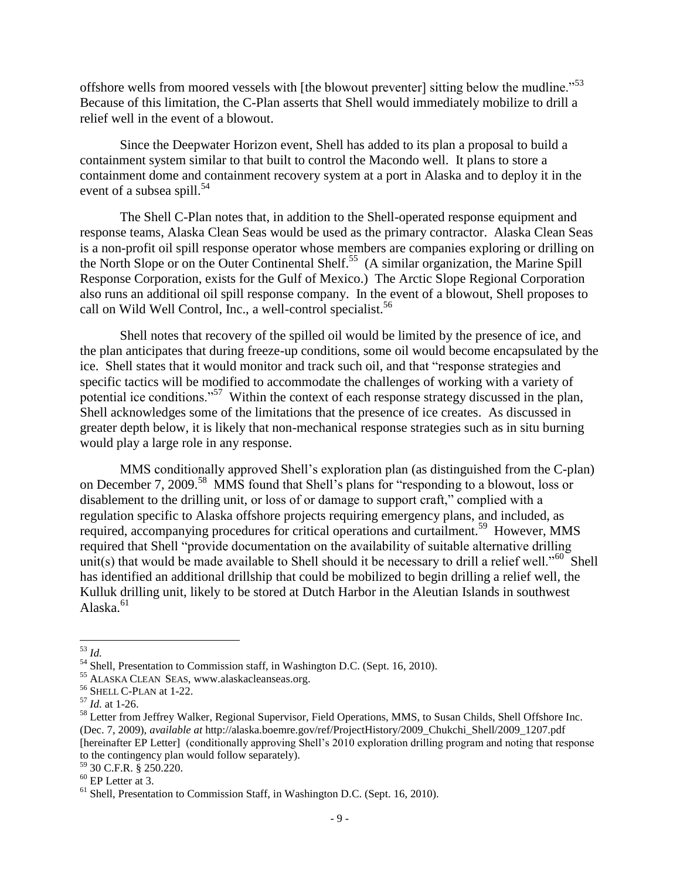offshore wells from moored vessels with [the blowout preventer] sitting below the mudline."<sup>53</sup> Because of this limitation, the C-Plan asserts that Shell would immediately mobilize to drill a relief well in the event of a blowout.

Since the Deepwater Horizon event, Shell has added to its plan a proposal to build a containment system similar to that built to control the Macondo well. It plans to store a containment dome and containment recovery system at a port in Alaska and to deploy it in the event of a subsea spill.<sup>54</sup>

The Shell C-Plan notes that, in addition to the Shell-operated response equipment and response teams, Alaska Clean Seas would be used as the primary contractor. Alaska Clean Seas is a non-profit oil spill response operator whose members are companies exploring or drilling on the North Slope or on the Outer Continental Shelf.<sup>55</sup> (A similar organization, the Marine Spill Response Corporation, exists for the Gulf of Mexico.) The Arctic Slope Regional Corporation also runs an additional oil spill response company. In the event of a blowout, Shell proposes to call on Wild Well Control, Inc., a well-control specialist.<sup>56</sup>

Shell notes that recovery of the spilled oil would be limited by the presence of ice, and the plan anticipates that during freeze-up conditions, some oil would become encapsulated by the ice. Shell states that it would monitor and track such oil, and that "response strategies and specific tactics will be modified to accommodate the challenges of working with a variety of potential ice conditions."<sup>57</sup> Within the context of each response strategy discussed in the plan, Shell acknowledges some of the limitations that the presence of ice creates. As discussed in greater depth below, it is likely that non-mechanical response strategies such as in situ burning would play a large role in any response.

MMS conditionally approved Shell's exploration plan (as distinguished from the C-plan) on December 7, 2009.<sup>58</sup> MMS found that Shell's plans for "responding to a blowout, loss or disablement to the drilling unit, or loss of or damage to support craft," complied with a regulation specific to Alaska offshore projects requiring emergency plans, and included, as required, accompanying procedures for critical operations and curtailment.<sup>59</sup> However, MMS required that Shell "provide documentation on the availability of suitable alternative drilling unit(s) that would be made available to Shell should it be necessary to drill a relief well."<sup>60</sup> Shell has identified an additional drillship that could be mobilized to begin drilling a relief well, the Kulluk drilling unit, likely to be stored at Dutch Harbor in the Aleutian Islands in southwest Alaska. 61

<sup>53</sup> *Id.*

<sup>&</sup>lt;sup>54</sup> Shell, Presentation to Commission staff, in Washington D.C. (Sept. 16, 2010).

<sup>55</sup> ALASKA CLEAN SEAS, www.alaskacleanseas.org.

<sup>56</sup> SHELL C-PLAN at 1-22.

<sup>57</sup> *Id.* at 1-26.

<sup>&</sup>lt;sup>58</sup> Letter from Jeffrey Walker, Regional Supervisor, Field Operations, MMS, to Susan Childs, Shell Offshore Inc. (Dec. 7, 2009), *available at* http://alaska.boemre.gov/ref/ProjectHistory/2009\_Chukchi\_Shell/2009\_1207.pdf [hereinafter EP Letter] (conditionally approving Shell's 2010 exploration drilling program and noting that response to the contingency plan would follow separately).

 $59$  30 C.F.R.  $\S$  250.220.

 $60$  EP Letter at 3.

<sup>&</sup>lt;sup>61</sup> Shell, Presentation to Commission Staff, in Washington D.C. (Sept. 16, 2010).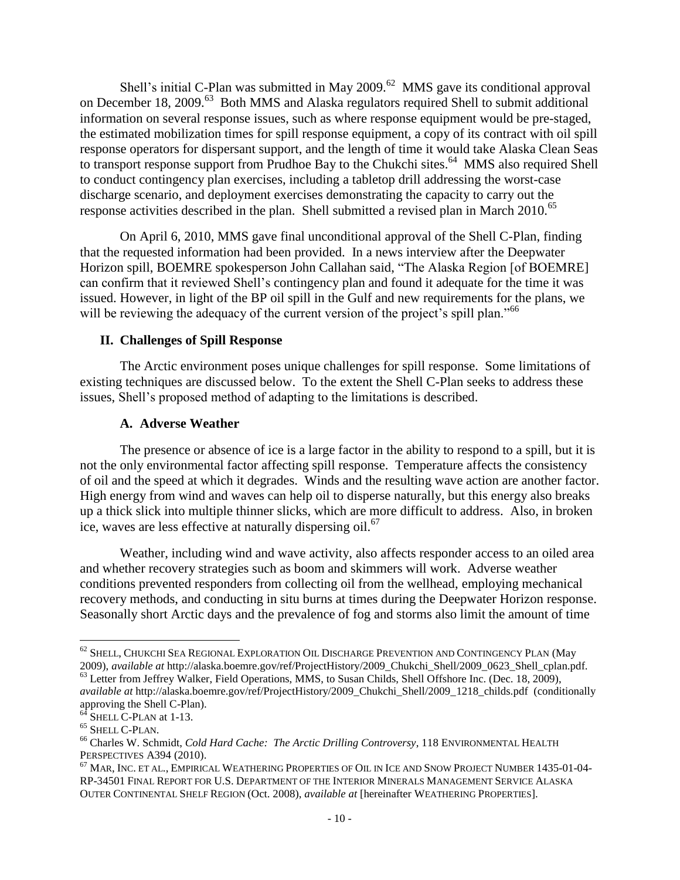Shell's initial C-Plan was submitted in May 2009. $62$  MMS gave its conditional approval on December 18, 2009.<sup>63</sup> Both MMS and Alaska regulators required Shell to submit additional information on several response issues, such as where response equipment would be pre-staged, the estimated mobilization times for spill response equipment, a copy of its contract with oil spill response operators for dispersant support, and the length of time it would take Alaska Clean Seas to transport response support from Prudhoe Bay to the Chukchi sites.<sup>64</sup> MMS also required Shell to conduct contingency plan exercises, including a tabletop drill addressing the worst-case discharge scenario, and deployment exercises demonstrating the capacity to carry out the response activities described in the plan. Shell submitted a revised plan in March 2010.<sup>65</sup>

On April 6, 2010, MMS gave final unconditional approval of the Shell C-Plan, finding that the requested information had been provided. In a news interview after the Deepwater Horizon spill, BOEMRE spokesperson John Callahan said, "The Alaska Region [of BOEMRE] can confirm that it reviewed Shell's contingency plan and found it adequate for the time it was issued. However, in light of the BP oil spill in the Gulf and new requirements for the plans, we will be reviewing the adequacy of the current version of the project's spill plan."<sup>66</sup>

### **II. Challenges of Spill Response**

The Arctic environment poses unique challenges for spill response. Some limitations of existing techniques are discussed below. To the extent the Shell C-Plan seeks to address these issues, Shell's proposed method of adapting to the limitations is described.

## **A. Adverse Weather**

The presence or absence of ice is a large factor in the ability to respond to a spill, but it is not the only environmental factor affecting spill response. Temperature affects the consistency of oil and the speed at which it degrades. Winds and the resulting wave action are another factor. High energy from wind and waves can help oil to disperse naturally, but this energy also breaks up a thick slick into multiple thinner slicks, which are more difficult to address. Also, in broken ice, waves are less effective at naturally dispersing oil.<sup>67</sup>

Weather, including wind and wave activity, also affects responder access to an oiled area and whether recovery strategies such as boom and skimmers will work. Adverse weather conditions prevented responders from collecting oil from the wellhead, employing mechanical recovery methods, and conducting in situ burns at times during the Deepwater Horizon response. Seasonally short Arctic days and the prevalence of fog and storms also limit the amount of time

 $\overline{a}$ <sup>62</sup> SHELL, CHUKCHI SEA REGIONAL EXPLORATION OIL DISCHARGE PREVENTION AND CONTINGENCY PLAN (May 2009), *available at* http://alaska.boemre.gov/ref/ProjectHistory/2009\_Chukchi\_Shell/2009\_0623\_Shell\_cplan.pdf. <sup>63</sup> Letter from Jeffrey Walker, Field Operations, MMS, to Susan Childs, Shell Offshore Inc. (Dec. 18, 2009),

*available at* http://alaska.boemre.gov/ref/ProjectHistory/2009\_Chukchi\_Shell/2009\_1218\_childs.pdf (conditionally approving the Shell C-Plan).

 $64$  SHELL C-PLAN at 1-13.

 $^{65}$  SHELL C-PLAN.

<sup>66</sup> Charles W. Schmidt, *Cold Hard Cache: The Arctic Drilling Controversy*, 118 ENVIRONMENTAL HEALTH PERSPECTIVES A394 (2010).

<sup>67</sup> MAR, INC. ET AL., EMPIRICAL WEATHERING PROPERTIES OF OIL IN ICE AND SNOW PROJECT NUMBER 1435-01-04- RP-34501 FINAL REPORT FOR U.S. DEPARTMENT OF THE INTERIOR MINERALS MANAGEMENT SERVICE ALASKA OUTER CONTINENTAL SHELF REGION (Oct. 2008), *available at* [hereinafter WEATHERING PROPERTIES].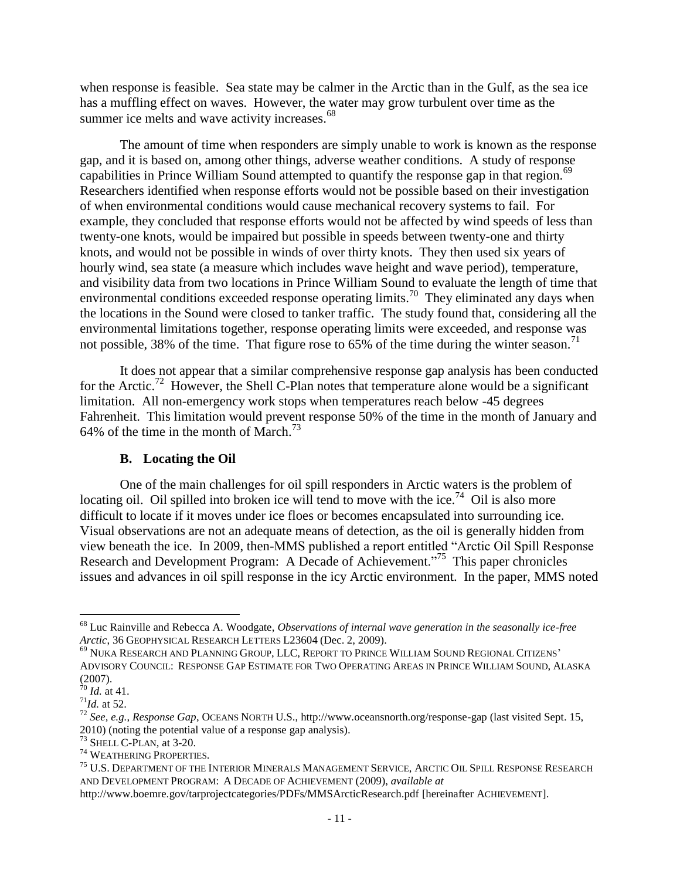when response is feasible. Sea state may be calmer in the Arctic than in the Gulf, as the sea ice has a muffling effect on waves. However, the water may grow turbulent over time as the summer ice melts and wave activity increases.<sup>68</sup>

The amount of time when responders are simply unable to work is known as the response gap, and it is based on, among other things, adverse weather conditions. A study of response capabilities in Prince William Sound attempted to quantify the response gap in that region.<sup>69</sup> Researchers identified when response efforts would not be possible based on their investigation of when environmental conditions would cause mechanical recovery systems to fail. For example, they concluded that response efforts would not be affected by wind speeds of less than twenty-one knots, would be impaired but possible in speeds between twenty-one and thirty knots, and would not be possible in winds of over thirty knots. They then used six years of hourly wind, sea state (a measure which includes wave height and wave period), temperature, and visibility data from two locations in Prince William Sound to evaluate the length of time that environmental conditions exceeded response operating limits.<sup>70</sup> They eliminated any days when the locations in the Sound were closed to tanker traffic. The study found that, considering all the environmental limitations together, response operating limits were exceeded, and response was not possible, 38% of the time. That figure rose to  $65\%$  of the time during the winter season.<sup>71</sup>

It does not appear that a similar comprehensive response gap analysis has been conducted for the Arctic.<sup>72</sup> However, the Shell C-Plan notes that temperature alone would be a significant limitation. All non-emergency work stops when temperatures reach below -45 degrees Fahrenheit. This limitation would prevent response 50% of the time in the month of January and 64% of the time in the month of March.<sup>73</sup>

#### **B. Locating the Oil**

One of the main challenges for oil spill responders in Arctic waters is the problem of locating oil. Oil spilled into broken ice will tend to move with the ice.<sup>74</sup> Oil is also more difficult to locate if it moves under ice floes or becomes encapsulated into surrounding ice. Visual observations are not an adequate means of detection, as the oil is generally hidden from view beneath the ice. In 2009, then-MMS published a report entitled "Arctic Oil Spill Response Research and Development Program: A Decade of Achievement."<sup>75</sup> This paper chronicles issues and advances in oil spill response in the icy Arctic environment. In the paper, MMS noted

<sup>68</sup> Luc Rainville and Rebecca A. Woodgate, *Observations of internal wave generation in the seasonally ice-free Arctic*, 36 GEOPHYSICAL RESEARCH LETTERS L23604 (Dec. 2, 2009).

 $^{69}$  Nuka Research and Planning Group, LLC, Report to Prince William Sound Regional Citizens' ADVISORY COUNCIL: RESPONSE GAP ESTIMATE FOR TWO OPERATING AREAS IN PRINCE WILLIAM SOUND, ALASKA (2007).

<sup>70</sup> *Id.* at 41.

<sup>71</sup>*Id.* at 52.

<sup>72</sup> *See, e.g.*, *Response Gap*, OCEANS NORTH U.S., http://www.oceansnorth.org/response-gap (last visited Sept. 15, 2010) (noting the potential value of a response gap analysis).

 $73$  SHELL C-PLAN, at 3-20.

<sup>74</sup> WEATHERING PROPERTIES.

<sup>&</sup>lt;sup>75</sup> U.S. DEPARTMENT OF THE INTERIOR MINERALS MANAGEMENT SERVICE, ARCTIC OIL SPILL RESPONSE RESEARCH AND DEVELOPMENT PROGRAM: A DECADE OF ACHIEVEMENT (2009), *available at*

http://www.boemre.gov/tarprojectcategories/PDFs/MMSArcticResearch.pdf [hereinafter ACHIEVEMENT].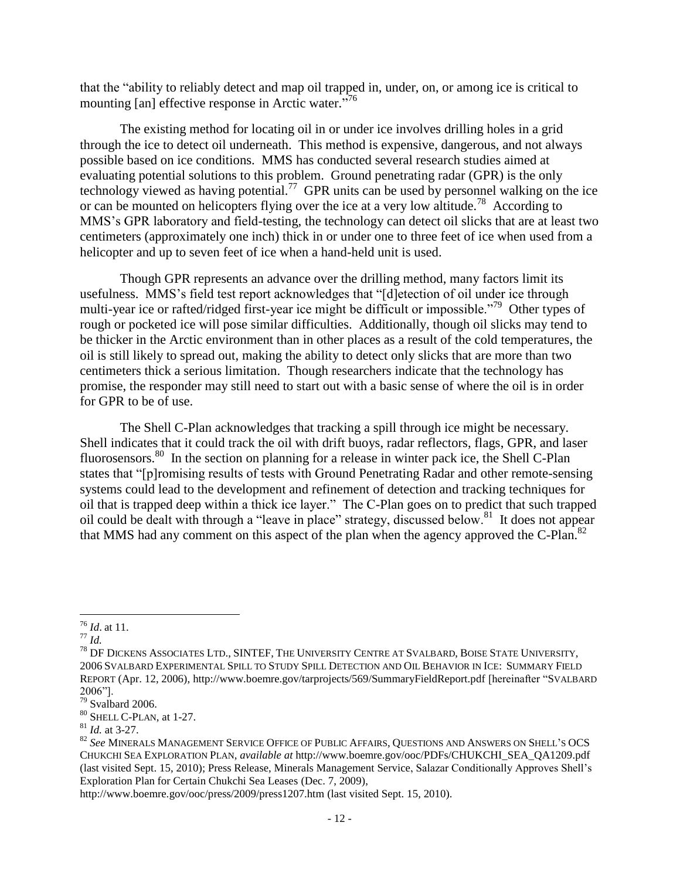that the "ability to reliably detect and map oil trapped in, under, on, or among ice is critical to mounting [an] effective response in Arctic water."<sup>76</sup>

The existing method for locating oil in or under ice involves drilling holes in a grid through the ice to detect oil underneath. This method is expensive, dangerous, and not always possible based on ice conditions. MMS has conducted several research studies aimed at evaluating potential solutions to this problem. Ground penetrating radar (GPR) is the only technology viewed as having potential.<sup>77</sup> GPR units can be used by personnel walking on the ice or can be mounted on helicopters flying over the ice at a very low altitude.<sup>78</sup> According to MMS's GPR laboratory and field-testing, the technology can detect oil slicks that are at least two centimeters (approximately one inch) thick in or under one to three feet of ice when used from a helicopter and up to seven feet of ice when a hand-held unit is used.

Though GPR represents an advance over the drilling method, many factors limit its usefulness. MMS's field test report acknowledges that "[d]etection of oil under ice through multi-year ice or rafted/ridged first-year ice might be difficult or impossible."<sup>79</sup> Other types of rough or pocketed ice will pose similar difficulties. Additionally, though oil slicks may tend to be thicker in the Arctic environment than in other places as a result of the cold temperatures, the oil is still likely to spread out, making the ability to detect only slicks that are more than two centimeters thick a serious limitation. Though researchers indicate that the technology has promise, the responder may still need to start out with a basic sense of where the oil is in order for GPR to be of use.

The Shell C-Plan acknowledges that tracking a spill through ice might be necessary. Shell indicates that it could track the oil with drift buoys, radar reflectors, flags, GPR, and laser fluorosensors.<sup>80</sup> In the section on planning for a release in winter pack ice, the Shell C-Plan states that "[p]romising results of tests with Ground Penetrating Radar and other remote-sensing systems could lead to the development and refinement of detection and tracking techniques for oil that is trapped deep within a thick ice layer." The C-Plan goes on to predict that such trapped oil could be dealt with through a "leave in place" strategy, discussed below.<sup>81</sup> It does not appear that MMS had any comment on this aspect of the plan when the agency approved the C-Plan.<sup>82</sup>

 $\overline{a}$ <sup>76</sup> *Id*. at 11.

<sup>77</sup> *Id.*

<sup>78</sup> DF DICKENS ASSOCIATES LTD., SINTEF, THE UNIVERSITY CENTRE AT SVALBARD, BOISE STATE UNIVERSITY, 2006 SVALBARD EXPERIMENTAL SPILL TO STUDY SPILL DETECTION AND OIL BEHAVIOR IN ICE: SUMMARY FIELD REPORT (Apr. 12, 2006), http://www.boemre.gov/tarprojects/569/SummaryFieldReport.pdf [hereinafter "SVALBARD 2006"].

<sup>79</sup> Svalbard 2006.

<sup>80</sup> SHELL C-PLAN, at 1-27.

<sup>81</sup> *Id.* at 3-27.

<sup>82</sup> *See* MINERALS MANAGEMENT SERVICE OFFICE OF PUBLIC AFFAIRS, QUESTIONS AND ANSWERS ON SHELL'S OCS CHUKCHI SEA EXPLORATION PLAN, *available at* http://www.boemre.gov/ooc/PDFs/CHUKCHI\_SEA\_QA1209.pdf (last visited Sept. 15, 2010); Press Release, Minerals Management Service, Salazar Conditionally Approves Shell's Exploration Plan for Certain Chukchi Sea Leases (Dec. 7, 2009),

http://www.boemre.gov/ooc/press/2009/press1207.htm (last visited Sept. 15, 2010).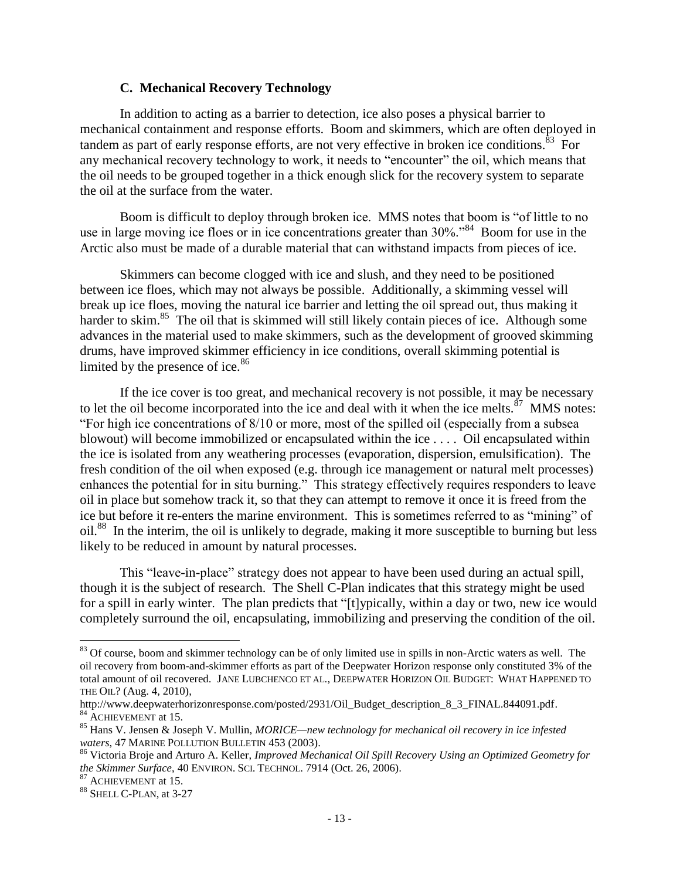#### **C. Mechanical Recovery Technology**

In addition to acting as a barrier to detection, ice also poses a physical barrier to mechanical containment and response efforts. Boom and skimmers, which are often deployed in tandem as part of early response efforts, are not very effective in broken ice conditions.<sup>83</sup> For any mechanical recovery technology to work, it needs to "encounter" the oil, which means that the oil needs to be grouped together in a thick enough slick for the recovery system to separate the oil at the surface from the water.

Boom is difficult to deploy through broken ice. MMS notes that boom is "of little to no use in large moving ice floes or in ice concentrations greater than 30%."<sup>84</sup> Boom for use in the Arctic also must be made of a durable material that can withstand impacts from pieces of ice.

Skimmers can become clogged with ice and slush, and they need to be positioned between ice floes, which may not always be possible. Additionally, a skimming vessel will break up ice floes, moving the natural ice barrier and letting the oil spread out, thus making it harder to skim.<sup>85</sup> The oil that is skimmed will still likely contain pieces of ice. Although some advances in the material used to make skimmers, such as the development of grooved skimming drums, have improved skimmer efficiency in ice conditions, overall skimming potential is limited by the presence of ice. $86$ 

If the ice cover is too great, and mechanical recovery is not possible, it may be necessary to let the oil become incorporated into the ice and deal with it when the ice melts. $^{87}$  MMS notes: "For high ice concentrations of 8/10 or more, most of the spilled oil (especially from a subsea blowout) will become immobilized or encapsulated within the ice . . . . Oil encapsulated within the ice is isolated from any weathering processes (evaporation, dispersion, emulsification). The fresh condition of the oil when exposed (e.g. through ice management or natural melt processes) enhances the potential for in situ burning." This strategy effectively requires responders to leave oil in place but somehow track it, so that they can attempt to remove it once it is freed from the ice but before it re-enters the marine environment. This is sometimes referred to as "mining" of oil.<sup>88</sup> In the interim, the oil is unlikely to degrade, making it more susceptible to burning but less likely to be reduced in amount by natural processes.

This "leave-in-place" strategy does not appear to have been used during an actual spill, though it is the subject of research. The Shell C-Plan indicates that this strategy might be used for a spill in early winter. The plan predicts that "[t]ypically, within a day or two, new ice would completely surround the oil, encapsulating, immobilizing and preserving the condition of the oil.

<sup>&</sup>lt;sup>83</sup> Of course, boom and skimmer technology can be of only limited use in spills in non-Arctic waters as well. The oil recovery from boom-and-skimmer efforts as part of the Deepwater Horizon response only constituted 3% of the total amount of oil recovered. JANE LUBCHENCO ET AL., DEEPWATER HORIZON OIL BUDGET: WHAT HAPPENED TO THE OIL? (Aug. 4, 2010),

http://www.deepwaterhorizonresponse.com/posted/2931/Oil\_Budget\_description\_8\_3\_FINAL.844091.pdf. <sup>84</sup> ACHIEVEMENT at 15.

<sup>85</sup> Hans V. Jensen & Joseph V. Mullin, *MORICE—new technology for mechanical oil recovery in ice infested waters*, 47 MARINE POLLUTION BULLETIN 453 (2003).

<sup>86</sup> Victoria Broje and Arturo A. Keller, *Improved Mechanical Oil Spill Recovery Using an Optimized Geometry for the Skimmer Surface*, 40 ENVIRON. SCI. TECHNOL. 7914 (Oct. 26, 2006).

<sup>87</sup> ACHIEVEMENT at 15.

<sup>88</sup> SHELL C-PLAN, at 3-27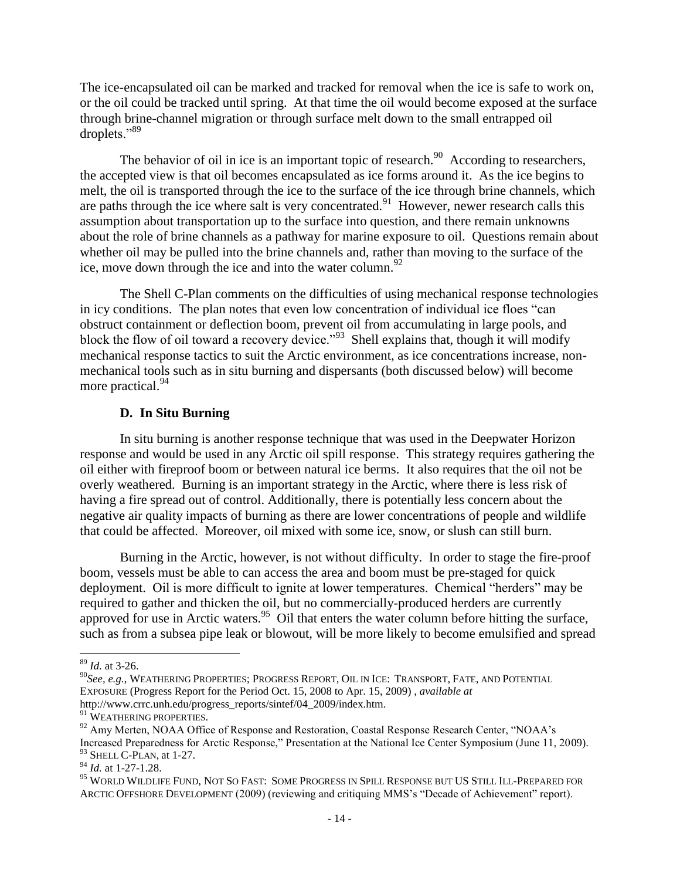The ice-encapsulated oil can be marked and tracked for removal when the ice is safe to work on, or the oil could be tracked until spring. At that time the oil would become exposed at the surface through brine-channel migration or through surface melt down to the small entrapped oil droplets."<sup>89</sup>

The behavior of oil in ice is an important topic of research.<sup>90</sup> According to researchers, the accepted view is that oil becomes encapsulated as ice forms around it. As the ice begins to melt, the oil is transported through the ice to the surface of the ice through brine channels, which are paths through the ice where salt is very concentrated.<sup>91</sup> However, newer research calls this assumption about transportation up to the surface into question, and there remain unknowns about the role of brine channels as a pathway for marine exposure to oil. Questions remain about whether oil may be pulled into the brine channels and, rather than moving to the surface of the ice, move down through the ice and into the water column. $92$ 

The Shell C-Plan comments on the difficulties of using mechanical response technologies in icy conditions. The plan notes that even low concentration of individual ice floes "can obstruct containment or deflection boom, prevent oil from accumulating in large pools, and block the flow of oil toward a recovery device."<sup>93</sup> Shell explains that, though it will modify mechanical response tactics to suit the Arctic environment, as ice concentrations increase, nonmechanical tools such as in situ burning and dispersants (both discussed below) will become more practical.<sup>94</sup>

#### **D. In Situ Burning**

In situ burning is another response technique that was used in the Deepwater Horizon response and would be used in any Arctic oil spill response. This strategy requires gathering the oil either with fireproof boom or between natural ice berms. It also requires that the oil not be overly weathered. Burning is an important strategy in the Arctic, where there is less risk of having a fire spread out of control. Additionally, there is potentially less concern about the negative air quality impacts of burning as there are lower concentrations of people and wildlife that could be affected. Moreover, oil mixed with some ice, snow, or slush can still burn.

Burning in the Arctic, however, is not without difficulty. In order to stage the fire-proof boom, vessels must be able to can access the area and boom must be pre-staged for quick deployment. Oil is more difficult to ignite at lower temperatures. Chemical "herders" may be required to gather and thicken the oil, but no commercially-produced herders are currently approved for use in Arctic waters.<sup>95</sup> Oil that enters the water column before hitting the surface, such as from a subsea pipe leak or blowout, will be more likely to become emulsified and spread

 $\overline{a}$ 

<sup>94</sup> *Id.* at 1-27-1.28.

<sup>89</sup> *Id.* at 3-26.

<sup>90</sup>*See, e.g.*, WEATHERING PROPERTIES; PROGRESS REPORT, OIL IN ICE: TRANSPORT, FATE, AND POTENTIAL EXPOSURE (Progress Report for the Period Oct. 15, 2008 to Apr. 15, 2009) , *available at* http://www.crrc.unh.edu/progress\_reports/sintef/04\_2009/index.htm.

<sup>&</sup>lt;sup>91</sup> WEATHERING PROPERTIES.

<sup>&</sup>lt;sup>92</sup> Amy Merten, NOAA Office of Response and Restoration, Coastal Response Research Center, "NOAA's Increased Preparedness for Arctic Response," Presentation at the National Ice Center Symposium (June 11, 2009). <sup>93</sup> SHELL C-PLAN, at 1-27.

 $^{95}$  WORLD WILDLIFE FUND, NOT SO FAST: SOME PROGRESS IN SPILL RESPONSE BUT US STILL ILL-PREPARED FOR ARCTIC OFFSHORE DEVELOPMENT (2009) (reviewing and critiquing MMS's "Decade of Achievement" report).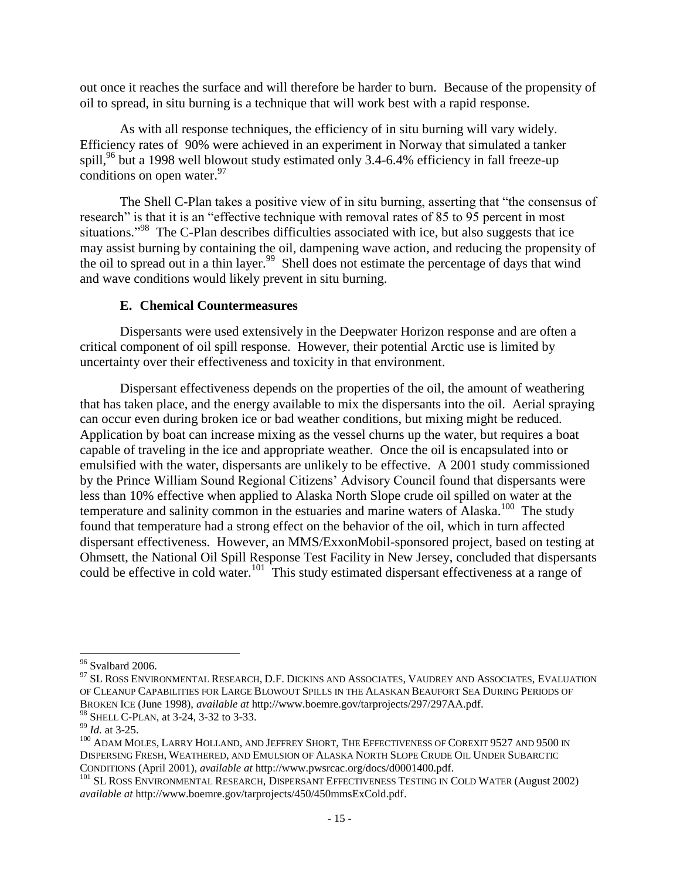out once it reaches the surface and will therefore be harder to burn. Because of the propensity of oil to spread, in situ burning is a technique that will work best with a rapid response.

As with all response techniques, the efficiency of in situ burning will vary widely. Efficiency rates of 90% were achieved in an experiment in Norway that simulated a tanker spill, $96$  but a 1998 well blowout study estimated only 3.4-6.4% efficiency in fall freeze-up conditions on open water. $97$ 

The Shell C-Plan takes a positive view of in situ burning, asserting that "the consensus of research" is that it is an "effective technique with removal rates of 85 to 95 percent in most situations."<sup>98</sup> The C-Plan describes difficulties associated with ice, but also suggests that ice may assist burning by containing the oil, dampening wave action, and reducing the propensity of the oil to spread out in a thin layer. 99 Shell does not estimate the percentage of days that wind and wave conditions would likely prevent in situ burning.

## **E. Chemical Countermeasures**

Dispersants were used extensively in the Deepwater Horizon response and are often a critical component of oil spill response. However, their potential Arctic use is limited by uncertainty over their effectiveness and toxicity in that environment.

Dispersant effectiveness depends on the properties of the oil, the amount of weathering that has taken place, and the energy available to mix the dispersants into the oil. Aerial spraying can occur even during broken ice or bad weather conditions, but mixing might be reduced. Application by boat can increase mixing as the vessel churns up the water, but requires a boat capable of traveling in the ice and appropriate weather. Once the oil is encapsulated into or emulsified with the water, dispersants are unlikely to be effective. A 2001 study commissioned by the Prince William Sound Regional Citizens' Advisory Council found that dispersants were less than 10% effective when applied to Alaska North Slope crude oil spilled on water at the temperature and salinity common in the estuaries and marine waters of Alaska.<sup>100</sup> The study found that temperature had a strong effect on the behavior of the oil, which in turn affected dispersant effectiveness. However, an MMS/ExxonMobil-sponsored project, based on testing at Ohmsett, the National Oil Spill Response Test Facility in New Jersey, concluded that dispersants could be effective in cold water.<sup>101</sup> This study estimated dispersant effectiveness at a range of

<sup>&</sup>lt;sup>96</sup> Svalbard 2006.

 $^{97}$  SL ROSS ENVIRONMENTAL RESEARCH, D.F. DICKINS AND ASSOCIATES, VAUDREY AND ASSOCIATES, EVALUATION OF CLEANUP CAPABILITIES FOR LARGE BLOWOUT SPILLS IN THE ALASKAN BEAUFORT SEA DURING PERIODS OF BROKEN ICE (June 1998), *available at* http://www.boemre.gov/tarprojects/297/297AA.pdf. <sup>98</sup> SHELL C-PLAN, at 3-24, 3-32 to 3-33.

<sup>99</sup> *Id.* at 3-25.

<sup>&</sup>lt;sup>100</sup> ADAM MOLES, LARRY HOLLAND, AND JEFFREY SHORT, THE EFFECTIVENESS OF COREXIT 9527 AND 9500 IN DISPERSING FRESH, WEATHERED, AND EMULSION OF ALASKA NORTH SLOPE CRUDE OIL UNDER SUBARCTIC CONDITIONS (April 2001), *available at* http://www.pwsrcac.org/docs/d0001400.pdf.

<sup>&</sup>lt;sup>101</sup> SL ROSS ENVIRONMENTAL RESEARCH, DISPERSANT EFFECTIVENESS TESTING IN COLD WATER (August 2002) *available at* http://www.boemre.gov/tarprojects/450/450mmsExCold.pdf.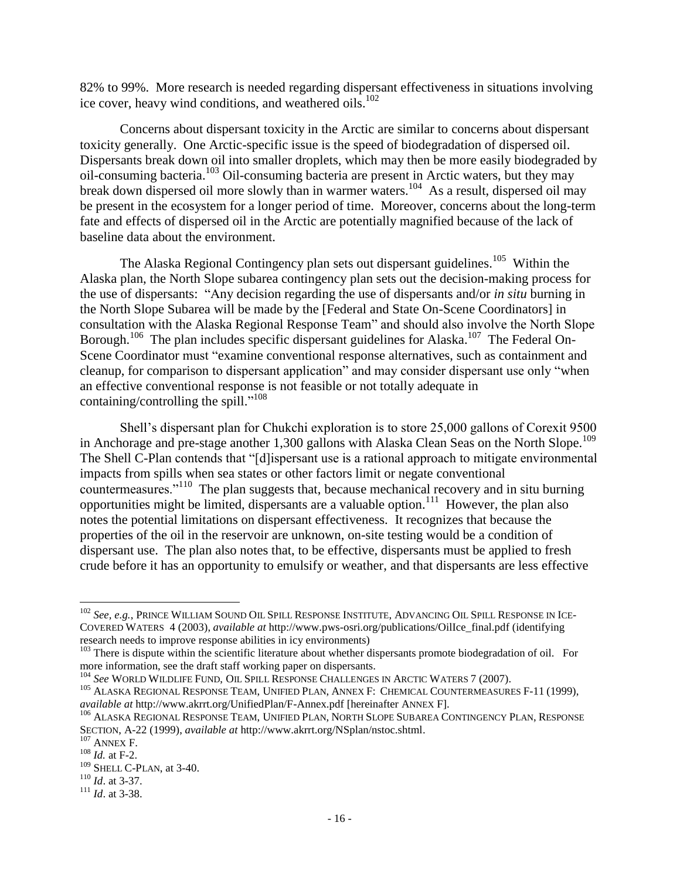82% to 99%. More research is needed regarding dispersant effectiveness in situations involving ice cover, heavy wind conditions, and weathered oils.<sup>102</sup>

Concerns about dispersant toxicity in the Arctic are similar to concerns about dispersant toxicity generally. One Arctic-specific issue is the speed of biodegradation of dispersed oil. Dispersants break down oil into smaller droplets, which may then be more easily biodegraded by oil-consuming bacteria.<sup>103</sup> Oil-consuming bacteria are present in Arctic waters, but they may break down dispersed oil more slowly than in warmer waters.<sup>104</sup> As a result, dispersed oil may be present in the ecosystem for a longer period of time. Moreover, concerns about the long-term fate and effects of dispersed oil in the Arctic are potentially magnified because of the lack of baseline data about the environment.

The Alaska Regional Contingency plan sets out dispersant guidelines.<sup>105</sup> Within the Alaska plan, the North Slope subarea contingency plan sets out the decision-making process for the use of dispersants: "Any decision regarding the use of dispersants and/or *in situ* burning in the North Slope Subarea will be made by the [Federal and State On-Scene Coordinators] in consultation with the Alaska Regional Response Team" and should also involve the North Slope Borough.<sup>106</sup> The plan includes specific dispersant guidelines for Alaska.<sup>107</sup> The Federal On-Scene Coordinator must "examine conventional response alternatives, such as containment and cleanup, for comparison to dispersant application" and may consider dispersant use only "when an effective conventional response is not feasible or not totally adequate in containing/controlling the spill."<sup>108</sup>

Shell's dispersant plan for Chukchi exploration is to store 25,000 gallons of Corexit 9500 in Anchorage and pre-stage another 1,300 gallons with Alaska Clean Seas on the North Slope.<sup>109</sup> The Shell C-Plan contends that "[d]ispersant use is a rational approach to mitigate environmental impacts from spills when sea states or other factors limit or negate conventional countermeasures."<sup>110</sup> The plan suggests that, because mechanical recovery and in situ burning opportunities might be limited, dispersants are a valuable option.<sup>111</sup> However, the plan also notes the potential limitations on dispersant effectiveness. It recognizes that because the properties of the oil in the reservoir are unknown, on-site testing would be a condition of dispersant use. The plan also notes that, to be effective, dispersants must be applied to fresh crude before it has an opportunity to emulsify or weather, and that dispersants are less effective

<sup>104</sup> *See* WORLD WILDLIFE FUND, OIL SPILL RESPONSE CHALLENGES IN ARCTIC WATERS 7 (2007).

<sup>102</sup> *See, e.g.*, PRINCE WILLIAM SOUND OIL SPILL RESPONSE INSTITUTE, ADVANCING OIL SPILL RESPONSE IN ICE-COVERED WATERS 4 (2003), *available at* http://www.pws-osri.org/publications/OilIce\_final.pdf (identifying research needs to improve response abilities in icy environments)

<sup>&</sup>lt;sup>103</sup> There is dispute within the scientific literature about whether dispersants promote biodegradation of oil. For more information, see the draft staff working paper on dispersants.

<sup>&</sup>lt;sup>105</sup> ALASKA REGIONAL RESPONSE TEAM, UNIFIED PLAN, ANNEX F: CHEMICAL COUNTERMEASURES F-11 (1999), *available at* http://www.akrrt.org/UnifiedPlan/F-Annex.pdf [hereinafter ANNEX F].

<sup>106</sup> ALASKA REGIONAL RESPONSE TEAM, UNIFIED PLAN, NORTH SLOPE SUBAREA CONTINGENCY PLAN, RESPONSE SECTION, A-22 (1999), *available at* http://www.akrrt.org/NSplan/nstoc.shtml.

 $107$  ANNEX F.

<sup>108</sup> *Id.* at F-2.

<sup>109</sup> SHELL C-PLAN, at 3-40.

<sup>110</sup> *Id*. at 3-37.

<sup>111</sup> *Id*. at 3-38.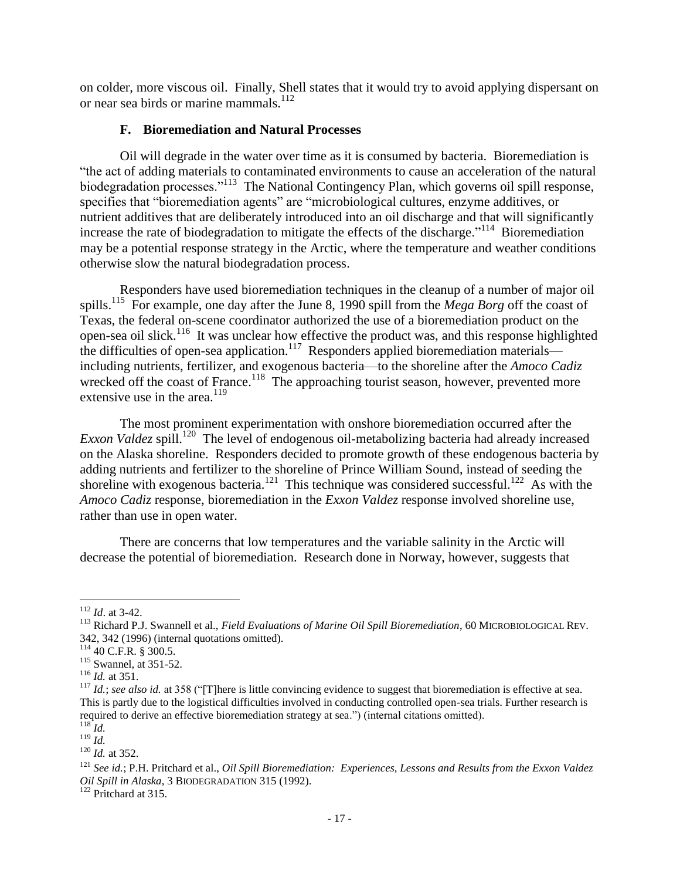on colder, more viscous oil. Finally, Shell states that it would try to avoid applying dispersant on or near sea birds or marine mammals.<sup>112</sup>

# **F. Bioremediation and Natural Processes**

Oil will degrade in the water over time as it is consumed by bacteria. Bioremediation is "the act of adding materials to contaminated environments to cause an acceleration of the natural biodegradation processes."<sup>113</sup> The National Contingency Plan, which governs oil spill response, specifies that "bioremediation agents" are "microbiological cultures, enzyme additives, or nutrient additives that are deliberately introduced into an oil discharge and that will significantly increase the rate of biodegradation to mitigate the effects of the discharge."<sup>114</sup> Bioremediation may be a potential response strategy in the Arctic, where the temperature and weather conditions otherwise slow the natural biodegradation process.

Responders have used bioremediation techniques in the cleanup of a number of major oil spills.<sup>115</sup> For example, one day after the June 8, 1990 spill from the *Mega Borg* off the coast of Texas, the federal on-scene coordinator authorized the use of a bioremediation product on the open-sea oil slick.<sup>116</sup> It was unclear how effective the product was, and this response highlighted the difficulties of open-sea application.<sup>117</sup> Responders applied bioremediation materials including nutrients, fertilizer, and exogenous bacteria—to the shoreline after the *Amoco Cadiz* wrecked off the coast of France.<sup>118</sup> The approaching tourist season, however, prevented more extensive use in the area. $^{119}$ 

The most prominent experimentation with onshore bioremediation occurred after the Exxon Valdez spill.<sup>120</sup> The level of endogenous oil-metabolizing bacteria had already increased on the Alaska shoreline. Responders decided to promote growth of these endogenous bacteria by adding nutrients and fertilizer to the shoreline of Prince William Sound, instead of seeding the shoreline with exogenous bacteria.<sup>121</sup> This technique was considered successful.<sup>122</sup> As with the *Amoco Cadiz* response, bioremediation in the *Exxon Valdez* response involved shoreline use, rather than use in open water.

There are concerns that low temperatures and the variable salinity in the Arctic will decrease the potential of bioremediation. Research done in Norway, however, suggests that

 $\overline{a}$ <sup>112</sup> *Id*. at 3-42.

<sup>113</sup> Richard P.J. Swannell et al., *Field Evaluations of Marine Oil Spill Bioremediation*, 60 MICROBIOLOGICAL REV. 342, 342 (1996) (internal quotations omitted).

<sup>114</sup> 40 C.F.R. § 300.5.

<sup>&</sup>lt;sup>115</sup> Swannel, at 351-52.

<sup>116</sup> *Id.* at 351.

 $117$  *Id.*; *see also id.* at 358 ("[T]here is little convincing evidence to suggest that bioremediation is effective at sea. This is partly due to the logistical difficulties involved in conducting controlled open-sea trials. Further research is required to derive an effective bioremediation strategy at sea.") (internal citations omitted).

 $^{118}$ *Id.* <sup>119</sup> *Id.*

<sup>120</sup> *Id.* at 352.

<sup>121</sup> *See id.*; P.H. Pritchard et al., *Oil Spill Bioremediation: Experiences, Lessons and Results from the Exxon Valdez Oil Spill in Alaska*, 3 BIODEGRADATION 315 (1992).

 $122$  Pritchard at 315.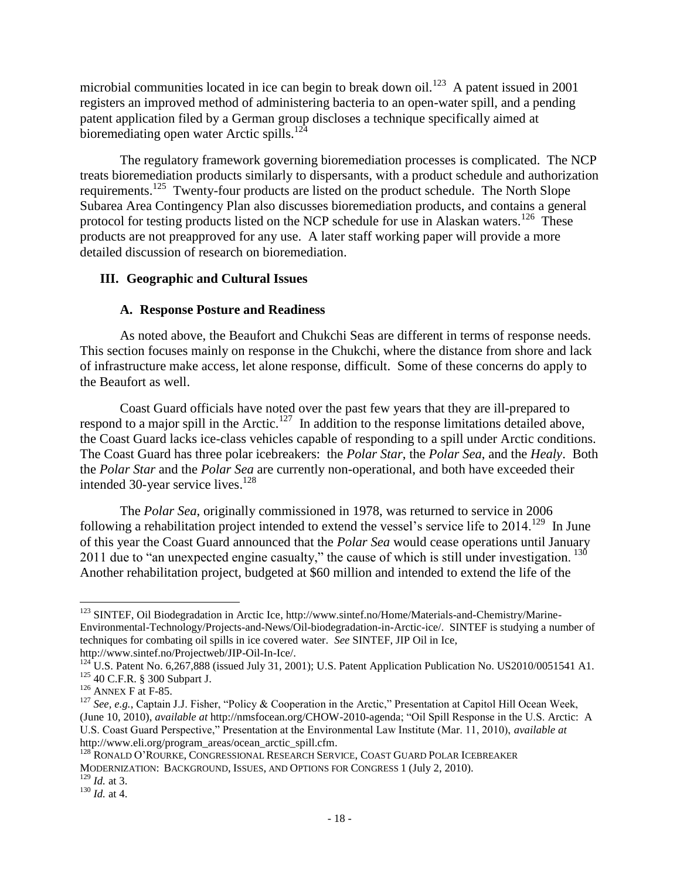microbial communities located in ice can begin to break down oil.<sup>123</sup> A patent issued in 2001 registers an improved method of administering bacteria to an open-water spill, and a pending patent application filed by a German group discloses a technique specifically aimed at bioremediating open water Arctic spills.<sup>124</sup>

The regulatory framework governing bioremediation processes is complicated. The NCP treats bioremediation products similarly to dispersants, with a product schedule and authorization requirements.<sup>125</sup> Twenty-four products are listed on the product schedule. The North Slope Subarea Area Contingency Plan also discusses bioremediation products, and contains a general protocol for testing products listed on the NCP schedule for use in Alaskan waters.<sup>126</sup> These products are not preapproved for any use. A later staff working paper will provide a more detailed discussion of research on bioremediation.

# **III. Geographic and Cultural Issues**

## **A. Response Posture and Readiness**

As noted above, the Beaufort and Chukchi Seas are different in terms of response needs. This section focuses mainly on response in the Chukchi, where the distance from shore and lack of infrastructure make access, let alone response, difficult. Some of these concerns do apply to the Beaufort as well.

Coast Guard officials have noted over the past few years that they are ill-prepared to respond to a major spill in the Arctic.<sup>127</sup> In addition to the response limitations detailed above, the Coast Guard lacks ice-class vehicles capable of responding to a spill under Arctic conditions. The Coast Guard has three polar icebreakers: the *Polar Star*, the *Polar Sea*, and the *Healy*. Both the *Polar Star* and the *Polar Sea* are currently non-operational, and both have exceeded their intended 30-year service lives. 128

The *Polar Sea*, originally commissioned in 1978, was returned to service in 2006 following a rehabilitation project intended to extend the vessel's service life to  $2014$ .<sup>129</sup> In June of this year the Coast Guard announced that the *Polar Sea* would cease operations until January 2011 due to "an unexpected engine casualty," the cause of which is still under investigation.  $130$ Another rehabilitation project, budgeted at \$60 million and intended to extend the life of the

 $\overline{a}$ <sup>123</sup> SINTEF, Oil Biodegradation in Arctic Ice, http://www.sintef.no/Home/Materials-and-Chemistry/Marine-Environmental-Technology/Projects-and-News/Oil-biodegradation-in-Arctic-ice/. SINTEF is studying a number of techniques for combating oil spills in ice covered water. *See* SINTEF, JIP Oil in Ice, http://www.sintef.no/Projectweb/JIP-Oil-In-Ice/.

 $124$  U.S. Patent No. 6,267,888 (issued July 31, 2001); U.S. Patent Application Publication No. US2010/0051541 A1. <sup>125</sup> 40 C.F.R. § 300 Subpart J.

 $126$  ANNEX F at F-85.

<sup>127</sup> *See, e.g.*, Captain J.J. Fisher, "Policy & Cooperation in the Arctic," Presentation at Capitol Hill Ocean Week, (June 10, 2010), *available at* http://nmsfocean.org/CHOW-2010-agenda; "Oil Spill Response in the U.S. Arctic: A U.S. Coast Guard Perspective," Presentation at the Environmental Law Institute (Mar. 11, 2010), *available at* http://www.eli.org/program\_areas/ocean\_arctic\_spill.cfm.

<sup>128</sup> RONALD O'ROURKE, CONGRESSIONAL RESEARCH SERVICE, COAST GUARD POLAR ICEBREAKER MODERNIZATION: BACKGROUND, ISSUES, AND OPTIONS FOR CONGRESS 1 (July 2, 2010).

<sup>129</sup> *Id.* at 3.

<sup>130</sup> *Id.* at 4.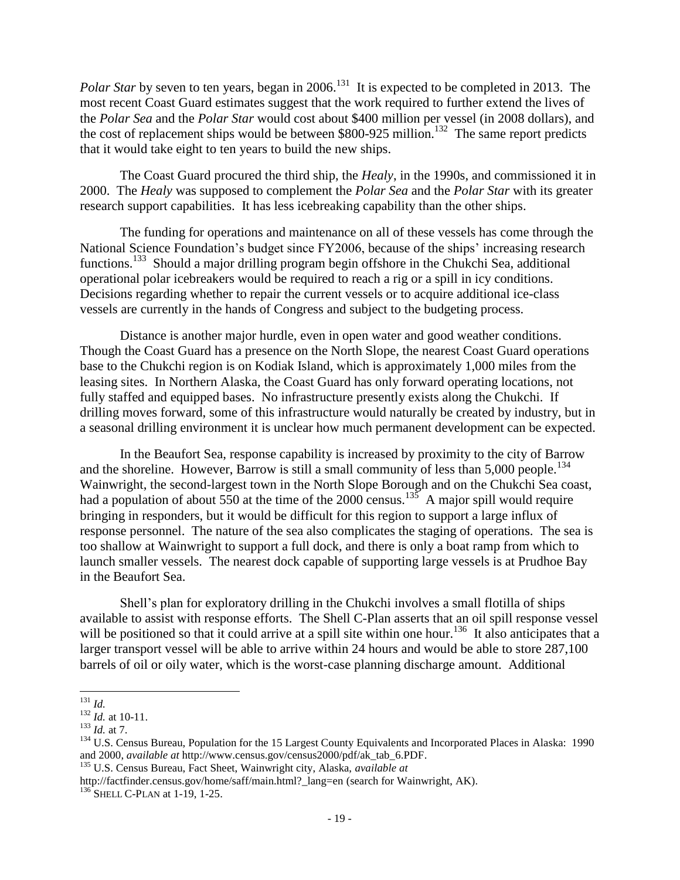Polar Star by seven to ten years, began in 2006.<sup>131</sup> It is expected to be completed in 2013. The most recent Coast Guard estimates suggest that the work required to further extend the lives of the *Polar Sea* and the *Polar Star* would cost about \$400 million per vessel (in 2008 dollars), and the cost of replacement ships would be between  $$800-925$  million.<sup>132</sup> The same report predicts that it would take eight to ten years to build the new ships.

The Coast Guard procured the third ship, the *Healy*, in the 1990s, and commissioned it in 2000. The *Healy* was supposed to complement the *Polar Sea* and the *Polar Star* with its greater research support capabilities. It has less icebreaking capability than the other ships.

The funding for operations and maintenance on all of these vessels has come through the National Science Foundation's budget since FY2006, because of the ships' increasing research functions.<sup>133</sup> Should a major drilling program begin offshore in the Chukchi Sea, additional operational polar icebreakers would be required to reach a rig or a spill in icy conditions. Decisions regarding whether to repair the current vessels or to acquire additional ice-class vessels are currently in the hands of Congress and subject to the budgeting process.

Distance is another major hurdle, even in open water and good weather conditions. Though the Coast Guard has a presence on the North Slope, the nearest Coast Guard operations base to the Chukchi region is on Kodiak Island, which is approximately 1,000 miles from the leasing sites. In Northern Alaska, the Coast Guard has only forward operating locations, not fully staffed and equipped bases. No infrastructure presently exists along the Chukchi. If drilling moves forward, some of this infrastructure would naturally be created by industry, but in a seasonal drilling environment it is unclear how much permanent development can be expected.

In the Beaufort Sea, response capability is increased by proximity to the city of Barrow and the shoreline. However, Barrow is still a small community of less than  $5,000$  people.<sup>134</sup> Wainwright, the second-largest town in the North Slope Borough and on the Chukchi Sea coast, had a population of about 550 at the time of the 2000 census.<sup>135</sup> A major spill would require bringing in responders, but it would be difficult for this region to support a large influx of response personnel. The nature of the sea also complicates the staging of operations. The sea is too shallow at Wainwright to support a full dock, and there is only a boat ramp from which to launch smaller vessels. The nearest dock capable of supporting large vessels is at Prudhoe Bay in the Beaufort Sea.

Shell's plan for exploratory drilling in the Chukchi involves a small flotilla of ships available to assist with response efforts. The Shell C-Plan asserts that an oil spill response vessel will be positioned so that it could arrive at a spill site within one hour.<sup>136</sup> It also anticipates that a larger transport vessel will be able to arrive within 24 hours and would be able to store 287,100 barrels of oil or oily water, which is the worst-case planning discharge amount. Additional

 $\overline{a}$ <sup>131</sup> *Id.*

<sup>132</sup> *Id.* at 10-11.

<sup>133</sup> *Id.* at 7.

<sup>&</sup>lt;sup>134</sup> U.S. Census Bureau, Population for the 15 Largest County Equivalents and Incorporated Places in Alaska: 1990 and 2000, *available at* http://www.census.gov/census2000/pdf/ak\_tab\_6.PDF.

<sup>135</sup> U.S. Census Bureau, Fact Sheet, Wainwright city, Alaska, *available at*

http://factfinder.census.gov/home/saff/main.html?\_lang=en (search for Wainwright, AK).

 $136$  SHELL C-PLAN at 1-19, 1-25.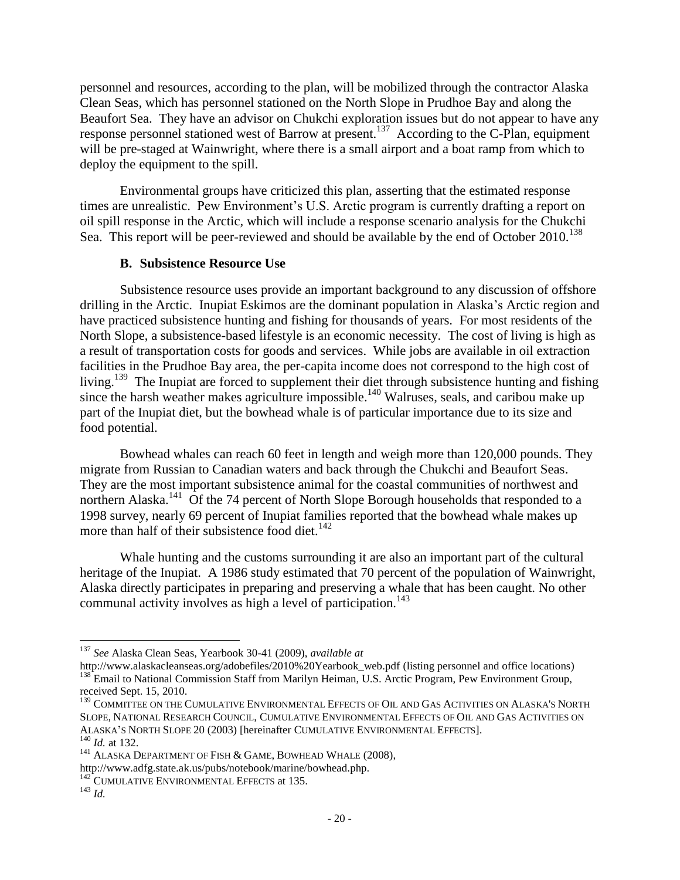personnel and resources, according to the plan, will be mobilized through the contractor Alaska Clean Seas, which has personnel stationed on the North Slope in Prudhoe Bay and along the Beaufort Sea. They have an advisor on Chukchi exploration issues but do not appear to have any response personnel stationed west of Barrow at present.<sup>137</sup> According to the C-Plan, equipment will be pre-staged at Wainwright, where there is a small airport and a boat ramp from which to deploy the equipment to the spill.

Environmental groups have criticized this plan, asserting that the estimated response times are unrealistic. Pew Environment's U.S. Arctic program is currently drafting a report on oil spill response in the Arctic, which will include a response scenario analysis for the Chukchi Sea. This report will be peer-reviewed and should be available by the end of October 2010.<sup>138</sup>

## **B. Subsistence Resource Use**

Subsistence resource uses provide an important background to any discussion of offshore drilling in the Arctic. Inupiat Eskimos are the dominant population in Alaska's Arctic region and have practiced subsistence hunting and fishing for thousands of years. For most residents of the North Slope, a subsistence-based lifestyle is an economic necessity. The cost of living is high as a result of transportation costs for goods and services. While jobs are available in oil extraction facilities in the Prudhoe Bay area, the per-capita income does not correspond to the high cost of living.<sup>139</sup> The Inupiat are forced to supplement their diet through subsistence hunting and fishing since the harsh weather makes agriculture impossible.<sup>140</sup> Walruses, seals, and caribou make up part of the Inupiat diet, but the bowhead whale is of particular importance due to its size and food potential.

Bowhead whales can reach 60 feet in length and weigh more than 120,000 pounds. They migrate from Russian to Canadian waters and back through the Chukchi and Beaufort Seas. They are the most important subsistence animal for the coastal communities of northwest and northern Alaska.<sup>141</sup> Of the 74 percent of North Slope Borough households that responded to a 1998 survey, nearly 69 percent of Inupiat families reported that the bowhead whale makes up more than half of their subsistence food diet.<sup>142</sup>

Whale hunting and the customs surrounding it are also an important part of the cultural heritage of the Inupiat. A 1986 study estimated that 70 percent of the population of Wainwright, Alaska directly participates in preparing and preserving a whale that has been caught. No other communal activity involves as high a level of participation.<sup>143</sup>

<sup>137</sup> *See* Alaska Clean Seas, Yearbook 30-41 (2009), *available at* 

http://www.alaskacleanseas.org/adobefiles/2010%20Yearbook\_web.pdf (listing personnel and office locations) <sup>138</sup> Email to National Commission Staff from Marilyn Heiman, U.S. Arctic Program, Pew Environment Group, received Sept. 15, 2010.

<sup>&</sup>lt;sup>139</sup> COMMITTEE ON THE CUMULATIVE ENVIRONMENTAL EFFECTS OF OIL AND GAS ACTIVITIES ON ALASKA'S NORTH SLOPE, NATIONAL RESEARCH COUNCIL, CUMULATIVE ENVIRONMENTAL EFFECTS OF OIL AND GAS ACTIVITIES ON ALASKA'S NORTH SLOPE 20 (2003) [hereinafter CUMULATIVE ENVIRONMENTAL EFFECTS].

<sup>140</sup> *Id.* at 132.

<sup>&</sup>lt;sup>141</sup> ALASKA DEPARTMENT OF FISH & GAME, BOWHEAD WHALE (2008),

http://www.adfg.state.ak.us/pubs/notebook/marine/bowhead.php.

 $^{142}$ CUMULATIVE ENVIRONMENTAL EFFECTS at 135.

<sup>143</sup> *Id.*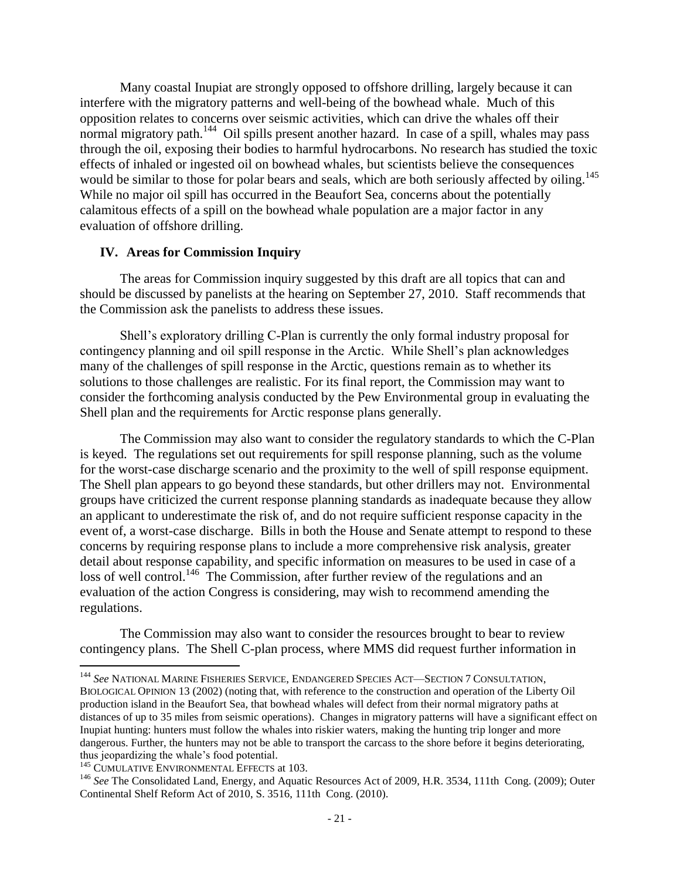Many coastal Inupiat are strongly opposed to offshore drilling, largely because it can interfere with the migratory patterns and well-being of the bowhead whale. Much of this opposition relates to concerns over seismic activities, which can drive the whales off their normal migratory path.<sup>144</sup> Oil spills present another hazard. In case of a spill, whales may pass through the oil, exposing their bodies to harmful hydrocarbons. No research has studied the toxic effects of inhaled or ingested oil on bowhead whales, but scientists believe the consequences would be similar to those for polar bears and seals, which are both seriously affected by oiling.<sup>145</sup> While no major oil spill has occurred in the Beaufort Sea, concerns about the potentially calamitous effects of a spill on the bowhead whale population are a major factor in any evaluation of offshore drilling.

#### **IV. Areas for Commission Inquiry**

The areas for Commission inquiry suggested by this draft are all topics that can and should be discussed by panelists at the hearing on September 27, 2010. Staff recommends that the Commission ask the panelists to address these issues.

Shell's exploratory drilling C-Plan is currently the only formal industry proposal for contingency planning and oil spill response in the Arctic. While Shell's plan acknowledges many of the challenges of spill response in the Arctic, questions remain as to whether its solutions to those challenges are realistic. For its final report, the Commission may want to consider the forthcoming analysis conducted by the Pew Environmental group in evaluating the Shell plan and the requirements for Arctic response plans generally.

The Commission may also want to consider the regulatory standards to which the C-Plan is keyed. The regulations set out requirements for spill response planning, such as the volume for the worst-case discharge scenario and the proximity to the well of spill response equipment. The Shell plan appears to go beyond these standards, but other drillers may not. Environmental groups have criticized the current response planning standards as inadequate because they allow an applicant to underestimate the risk of, and do not require sufficient response capacity in the event of, a worst-case discharge. Bills in both the House and Senate attempt to respond to these concerns by requiring response plans to include a more comprehensive risk analysis, greater detail about response capability, and specific information on measures to be used in case of a loss of well control.<sup>146</sup> The Commission, after further review of the regulations and an evaluation of the action Congress is considering, may wish to recommend amending the regulations.

The Commission may also want to consider the resources brought to bear to review contingency plans. The Shell C-plan process, where MMS did request further information in

<sup>144</sup> *See* NATIONAL MARINE FISHERIES SERVICE, ENDANGERED SPECIES ACT—SECTION 7 CONSULTATION, BIOLOGICAL OPINION 13 (2002) (noting that, with reference to the construction and operation of the Liberty Oil production island in the Beaufort Sea, that bowhead whales will defect from their normal migratory paths at distances of up to 35 miles from seismic operations). Changes in migratory patterns will have a significant effect on Inupiat hunting: hunters must follow the whales into riskier waters, making the hunting trip longer and more dangerous. Further, the hunters may not be able to transport the carcass to the shore before it begins deteriorating, thus jeopardizing the whale's food potential.

<sup>&</sup>lt;sup>145</sup> CUMULATIVE ENVIRONMENTAL EFFECTS at 103.

<sup>146</sup> *See* The Consolidated Land, Energy, and Aquatic Resources Act of 2009, H.R. 3534, 111th Cong. (2009); Outer Continental Shelf Reform Act of 2010, S. 3516, 111th Cong. (2010).